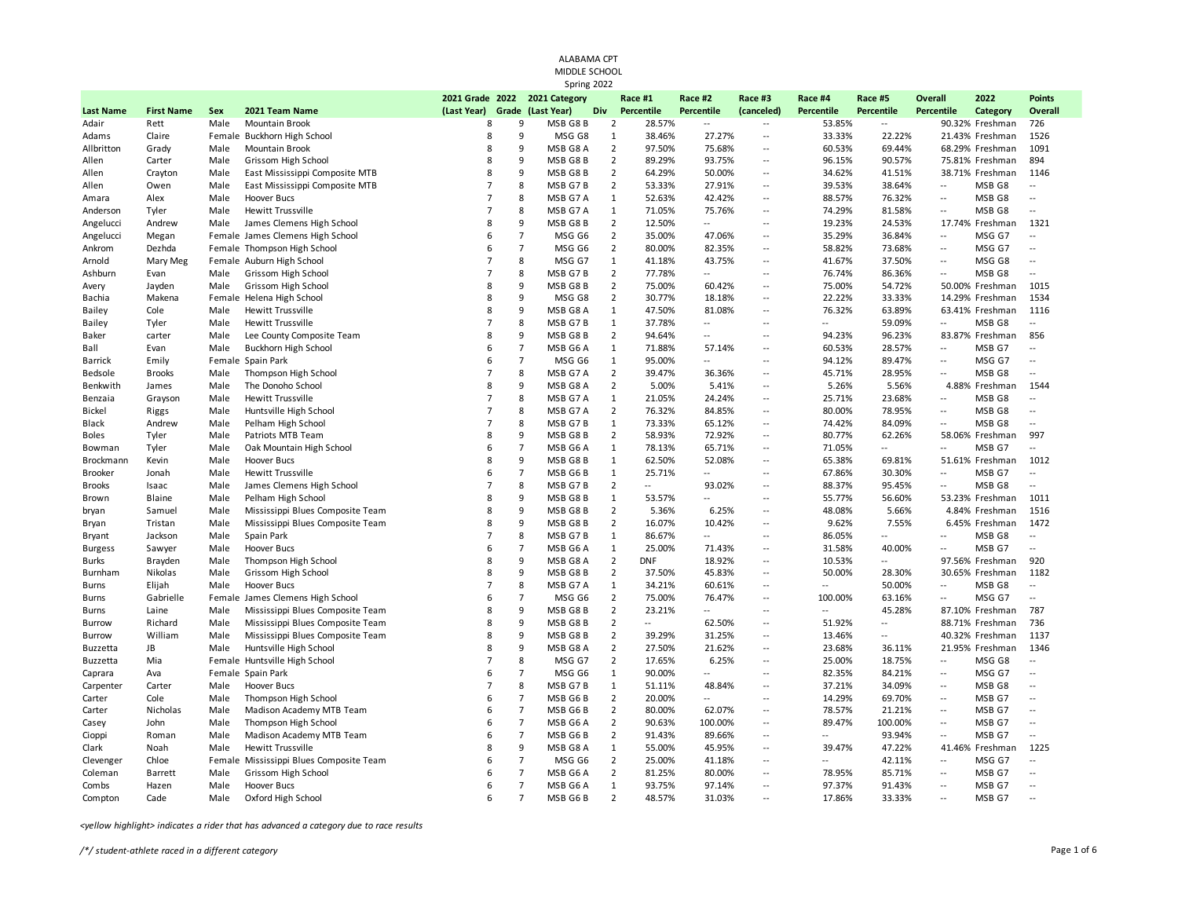|                  | ALABAMA CPT                  |      |                                                      |                |                |                               |                |                  |                          |                          |                           |                          |                          |                   |                          |
|------------------|------------------------------|------|------------------------------------------------------|----------------|----------------|-------------------------------|----------------|------------------|--------------------------|--------------------------|---------------------------|--------------------------|--------------------------|-------------------|--------------------------|
|                  | MIDDLE SCHOOL<br>Spring 2022 |      |                                                      |                |                |                               |                |                  |                          |                          |                           |                          |                          |                   |                          |
|                  |                              |      |                                                      |                |                |                               |                |                  |                          |                          |                           |                          |                          |                   |                          |
|                  |                              |      |                                                      |                |                | 2021 Grade 2022 2021 Category |                | Race #1          | Race #2                  | Race #3                  | Race #4                   | Race #5                  | <b>Overall</b>           | 2022              | <b>Points</b>            |
| <b>Last Name</b> | <b>First Name</b>            | Sex  | 2021 Team Name                                       | (Last Year)    |                | Grade (Last Year)             | Div            | Percentile       | Percentile               | (canceled)               | Percentile                | Percentile               | Percentile               | Category          | <b>Overall</b>           |
| Adair            | Rett                         | Male | Mountain Brook                                       | 8              | 9              | MSB G8B                       | $\overline{2}$ | 28.57%           | $\overline{\phantom{a}}$ | $\sim$                   | 53.85%                    | $\overline{\phantom{a}}$ |                          | 90.32% Freshman   | 726                      |
| Adams            | Claire                       |      | Female Buckhorn High School                          | 8              | 9              | MSG G8                        | $\mathbf{1}$   | 38.46%           | 27.27%                   | $\sim$                   | 33.33%                    | 22.22%                   |                          | 21.43% Freshman   | 1526                     |
| Allbritton       | Grady                        | Male | Mountain Brook                                       | 8              | 9              | MSB G8 A                      | $\overline{2}$ | 97.50%           | 75.68%                   | $\sim$                   | 60.53%                    | 69.44%                   |                          | 68.29% Freshman   | 1091                     |
| Allen            | Carter                       | Male | Grissom High School                                  | 8              | 9              | MSB G8B                       | $\overline{2}$ | 89.29%           | 93.75%                   | $\sim$                   | 96.15%                    | 90.57%                   |                          | 75.81% Freshman   | 894                      |
| Allen            | Crayton                      | Male | East Mississippi Composite MTB                       | 8              | 9              | MSB G8B                       | $\overline{2}$ | 64.29%           | 50.00%                   | $\sim$                   | 34.62%                    | 41.51%                   |                          | 38.71% Freshman   | 1146                     |
| Allen            | Owen                         | Male | East Mississippi Composite MTB                       | $\overline{7}$ | 8              | MSB G7B                       | $\overline{2}$ | 53.33%           | 27.91%                   | $\sim$                   | 39.53%                    | 38.64%                   | $\mathbf{L}$             | MSB G8            | $\sim$                   |
| Amara            | Alex                         | Male | <b>Hoover Bucs</b>                                   | $\overline{7}$ | 8              | MSB G7 A                      | $\mathbf{1}$   | 52.63%           | 42.42%                   | $\sim$                   | 88.57%                    | 76.32%                   | $\overline{\phantom{a}}$ | MSB G8            | $\overline{\phantom{a}}$ |
| Anderson         | Tyler                        | Male | Hewitt Trussville                                    | $\overline{7}$ | 8              | MSB G7 A                      | $\mathbf{1}$   | 71.05%           | 75.76%                   | $\sim$                   | 74.29%                    | 81.58%                   | $\sim$                   | MSB G8            | $\sim$                   |
| Angelucci        | Andrew                       | Male | James Clemens High School                            | 8              | 9              | MSB G8B                       | $\overline{2}$ | 12.50%           | $\overline{\phantom{a}}$ | $\sim$                   | 19.23%                    | 24.53%                   |                          | 17.74% Freshman   | 1321                     |
| Angelucci        | Megan                        |      | Female James Clemens High School                     | 6              | $\overline{7}$ | MSG G6                        | $\overline{2}$ | 35.00%           | 47.06%                   | $\sim$                   | 35.29%                    | 36.84%                   | $\overline{\phantom{a}}$ | MSG G7            | $\sim$                   |
| Ankrom           | Dezhda                       |      | Female Thompson High School                          | 6              | $\overline{7}$ | MSG G6                        | $\overline{2}$ | 80.00%           | 82.35%                   | $\sim$                   | 58.82%                    | 73.68%                   | $\overline{\phantom{a}}$ | MSG G7            | $\sim$                   |
| Arnold           | Mary Meg                     |      | Female Auburn High School                            | $\overline{7}$ | 8              | MSG G7                        | $\mathbf{1}$   | 41.18%           | 43.75%                   | $\sim$                   | 41.67%                    | 37.50%                   | $\overline{\phantom{a}}$ | MSG G8            | $\sim$                   |
| Ashburn          | Evan                         | Male | Grissom High School                                  | $\overline{7}$ | 8              | MSB G7B                       | $\overline{2}$ | 77.78%           | $\overline{\phantom{a}}$ | $\sim$                   | 76.74%                    | 86.36%                   | $\overline{\phantom{a}}$ | MSB G8            | $\overline{\phantom{a}}$ |
| Avery            | Jayden                       | Male | Grissom High School                                  | 8              | 9              | MSB G8B                       | $\overline{2}$ | 75.00%           | 60.42%                   | $\sim$                   | 75.00%                    | 54.72%                   |                          | 50.00% Freshman   | 1015                     |
| Bachia           | Makena                       |      | Female Helena High School                            | 8              | 9              | MSG G8                        | $\overline{2}$ | 30.77%           | 18.18%                   | $\sim$                   | 22.22%                    | 33.33%                   |                          | 14.29% Freshman   | 1534                     |
| <b>Bailey</b>    | Cole                         | Male | <b>Hewitt Trussville</b>                             | 8              | 9              | MSB G8 A                      | $\mathbf{1}$   | 47.50%           | 81.08%                   | ÷.                       | 76.32%                    | 63.89%                   |                          | 63.41% Freshman   | 1116                     |
| Bailey           | Tyler                        | Male | <b>Hewitt Trussville</b>                             | $\overline{7}$ | 8              | MSB G7B                       | 1              | 37.78%           | $\overline{a}$           | $\sim$                   | $\sim$ $\sim$             | 59.09%                   | $\ddotsc$                | MSB <sub>G8</sub> | $\overline{a}$           |
| Baker            | carter                       | Male | Lee County Composite Team                            | 8              | 9              | MSB G8B                       | $\overline{2}$ | 94.64%           | $\overline{a}$           | ÷.                       | 94.23%                    | 96.23%                   |                          | 83.87% Freshman   | 856                      |
| Ball             | Evan                         | Male | Buckhorn High School                                 | 6              | $\overline{7}$ | MSB G6 A                      | 1              | 71.88%           | 57.14%                   | ÷.                       | 60.53%                    | 28.57%                   | $\mathbf{L}$             | MSB G7            | $\mathbf{L}$             |
| <b>Barrick</b>   | Emily                        |      | Female Spain Park                                    | 6              | $\overline{7}$ | MSG G6                        | 1              | 95.00%           | $\overline{a}$           | $\sim$                   | 94.12%                    | 89.47%                   | $\overline{\phantom{a}}$ | MSG G7            | $\mathbf{L}$             |
| Bedsole          | <b>Brooks</b>                | Male | Thompson High School                                 | $\overline{7}$ | 8              | MSB G7 A                      | $\overline{2}$ | 39.47%           | 36.36%                   | $\sim$                   | 45.71%                    | 28.95%                   | $\overline{\phantom{a}}$ | MSB G8            | $\mathbf{L}$             |
| Benkwith         | James                        | Male | The Donoho School                                    | 8              | 9              | MSB G8 A                      | $\overline{2}$ | 5.00%            | 5.41%                    | $\ddotsc$                | 5.26%                     | 5.56%                    |                          | 4.88% Freshman    | 1544                     |
| Benzaia          | Grayson                      | Male | <b>Hewitt Trussville</b>                             | $\overline{7}$ | 8              | MSB G7 A                      | 1              | 21.05%           | 24.24%                   | $\ddotsc$                | 25.71%                    | 23.68%                   | $\ddotsc$                | MSB G8            | ÷.                       |
| <b>Bickel</b>    | Riggs                        | Male | Huntsville High School                               | $\overline{7}$ | 8              | MSB G7 A                      | $\overline{2}$ | 76.32%           | 84.85%                   | $\overline{\phantom{a}}$ | 80.00%                    | 78.95%                   | $\overline{\phantom{a}}$ | MSB G8            | $\overline{a}$           |
| Black            | Andrew                       | Male | Pelham High School                                   | $\overline{7}$ | 8              | MSB G7B                       | 1              | 73.33%           | 65.12%                   | $\sim$                   | 74.42%                    | 84.09%                   | $\overline{\phantom{a}}$ | MSB G8            | $\sim$                   |
| <b>Boles</b>     | Tyler                        | Male | Patriots MTB Team                                    | 8              | 9              | MSB G8B                       | $\overline{2}$ | 58.93%           | 72.92%                   | $\ddotsc$                | 80.77%                    | 62.26%                   |                          | 58.06% Freshman   | 997                      |
| Bowman           | Tyler                        | Male | Oak Mountain High School                             | 6              | $\overline{7}$ | MSB G6 A                      | $\mathbf{1}$   | 78.13%           | 65.71%                   | ÷.                       | 71.05%                    | $\overline{\phantom{a}}$ | $\ddotsc$                | MSB G7            | $\sim$                   |
| Brockmann        | Kevin                        | Male | Hoover Bucs                                          | 8              | 9              | MSB G8B                       | $\mathbf{1}$   | 62.50%           | 52.08%                   | $\sim$                   | 65.38%                    | 69.81%                   |                          | 51.61% Freshman   | 1012                     |
| <b>Brooker</b>   | Jonah                        | Male | Hewitt Trussville                                    | 6              | $\overline{7}$ | MSB G6B                       | $\mathbf{1}$   | 25.71%           | ω.                       | ц.                       | 67.86%                    | 30.30%                   | $\ddotsc$                | MSB G7            |                          |
| <b>Brooks</b>    | Isaac                        | Male | James Clemens High School                            | $\overline{7}$ | 8              | MSB G7B                       | $\overline{2}$ | $\overline{a}$   | 93.02%                   | ÷.                       | 88.37%                    | 95.45%                   | $\ddotsc$                | MSB <sub>G8</sub> | $\mathbf{L}$             |
| Brown            | Blaine                       | Male | Pelham High School                                   | 8              | 9              | MSB G8B                       | $\mathbf{1}$   | 53.57%           | $-$                      | $\ddotsc$                | 55.77%                    | 56.60%                   |                          | 53.23% Freshman   | 1011                     |
| bryan            | Samuel                       | Male | Mississippi Blues Composite Team                     | 8              | 9              | MSB G8B                       | $\overline{2}$ | 5.36%            | 6.25%                    | $\sim$                   | 48.08%                    | 5.66%                    |                          | 4.84% Freshman    | 1516                     |
| Bryan            | Tristan                      | Male | Mississippi Blues Composite Team                     | 8              | 9              | MSB G8B                       | $\overline{2}$ | 16.07%           | 10.42%                   | $\sim$                   | 9.62%                     | 7.55%                    |                          | 6.45% Freshman    | 1472                     |
| <b>Bryant</b>    | Jackson                      | Male | Spain Park                                           | $\overline{7}$ | 8              | MSB G7B                       | $\mathbf{1}$   | 86.67%           | $\sim$                   | $\sim$                   | 86.05%                    | $\overline{\phantom{a}}$ | $\sim$                   | MSB G8            | $\sim$                   |
| <b>Burgess</b>   | Sawyer                       | Male | <b>Hoover Bucs</b>                                   | 6              | $\overline{7}$ | MSB G6 A                      | $\mathbf{1}$   | 25.00%           | 71.43%                   | $\sim$                   | 31.58%                    | 40.00%                   | $\ddotsc$                | MSB G7            | $\overline{\phantom{a}}$ |
| Burks            | Brayden                      | Male | Thompson High School                                 | 8              | 9              | MSB G8 A                      | $\overline{2}$ | <b>DNF</b>       | 18.92%                   | $\sim$                   | 10.53%                    | $\mathbb{L}^2$           |                          | 97.56% Freshman   | 920                      |
| Burnham          | Nikolas                      | Male | Grissom High School                                  | 8              | 9              | MSB G8B                       | $\overline{2}$ | 37.50%           | 45.83%                   | $\sim$                   | 50.00%                    | 28.30%                   |                          | 30.65% Freshman   | 1182                     |
| Burns            | Elijah                       | Male | Hoover Bucs                                          | $\overline{7}$ | 8              | MSB G7 A                      | $\mathbf{1}$   | 34.21%           | 60.61%                   | $\sim$ $\sim$            | $\sim$ $\sim$             | 50.00%                   | $\ddotsc$                | MSB G8            | $\sim$                   |
| Burns            | Gabrielle                    |      | Female James Clemens High School                     | 6              | $\overline{7}$ | MSG G6                        | $\overline{2}$ | 75.00%           | 76.47%                   | ÷.                       | 100.00%                   | 63.16%                   | $\ddotsc$                | MSG G7            | $\overline{\phantom{a}}$ |
| Burns            | Laine                        | Male | Mississippi Blues Composite Team                     | 8              | 9              | MSB G8B                       | $\overline{2}$ | 23.21%           | $\overline{a}$           | $\sim$ $\sim$            | $\mathbb{Z}^{\mathbb{Z}}$ | 45.28%                   |                          | 87.10% Freshman   | 787                      |
| <b>Burrow</b>    | Richard                      | Male | Mississippi Blues Composite Team                     | 8              | 9              | MSB G8B                       | $\overline{2}$ | $\sim$           | 62.50%                   | $\sim$                   | 51.92%                    | $\overline{a}$           |                          | 88.71% Freshman   | 736                      |
| Burrow           | William                      | Male | Mississippi Blues Composite Team                     | 8              | 9              | MSB G8B                       | $\overline{2}$ | 39.29%           | 31.25%                   | $\sim$                   | 13.46%                    | $\mathbb{L}$             |                          | 40.32% Freshman   | 1137                     |
| Buzzetta         | JB                           | Male | Huntsville High School                               | 8              | 9              | MSB G8 A                      | $\overline{2}$ | 27.50%           | 21.62%                   | $\sim$                   | 23.68%                    | 36.11%                   |                          | 21.95% Freshman   | 1346                     |
| Buzzetta         | Mia                          |      | Female Huntsville High School                        | $\overline{7}$ | 8              | MSG G7                        | $\overline{2}$ | 17.65%           | 6.25%                    | $\ddotsc$                | 25.00%                    | 18.75%                   | $\overline{\phantom{a}}$ | MSG G8            | $\ddotsc$                |
| Caprara          | Ava                          |      | Female Spain Park                                    | 6              | $\overline{7}$ | MSG G6                        | 1              | 90.00%           | $\overline{a}$           | ÷.                       | 82.35%                    | 84.21%                   | $\ddotsc$                | MSG G7            | $\sim$                   |
| Carpenter        | Carter                       | Male | Hoover Bucs                                          | $\overline{7}$ | 8              | MSB G7B                       | 1              | 51.11%           | 48.84%                   | $\sim$                   | 37.21%                    | 34.09%                   | $\overline{\phantom{a}}$ | MSB G8            | $\overline{\phantom{a}}$ |
| Carter           | Cole                         | Male | Thompson High School                                 | 6              | $\overline{7}$ | MSB G6B                       | $\overline{2}$ | 20.00%           | $\overline{a}$           | ÷.                       | 14.29%                    | 69.70%                   | $\overline{\phantom{a}}$ | MSB G7            | $\overline{a}$           |
| Carter           | Nicholas                     | Male | Madison Academy MTB Team                             | 6              | $\overline{7}$ | MSB G6B                       | $\overline{2}$ | 80.00%           | 62.07%                   | $\ddotsc$                | 78.57%                    | 21.21%                   | $\overline{\phantom{a}}$ | MSB G7            | $\overline{\phantom{a}}$ |
| Casey            | John                         | Male | Thompson High School                                 | 6              | $\overline{7}$ | MSB G6A                       | $\overline{2}$ | 90.63%           | 100.00%                  | $\ddotsc$                | 89.47%                    | 100.00%                  | $\overline{\phantom{a}}$ | MSB G7            |                          |
|                  |                              | Male |                                                      | 6              | $\overline{7}$ | MSB G6B                       | $\overline{2}$ |                  | 89.66%                   | $\sim$                   | $\overline{a}$            | 93.94%                   |                          | MSB G7            | $\sim$                   |
| Cioppi           | Roman                        | Male | Madison Academy MTB Team<br><b>Hewitt Trussville</b> | 8              | 9              | MSB G8 A                      | 1              | 91.43%<br>55.00% | 45.95%                   | $\sim$                   | 39.47%                    | 47.22%                   | $\overline{\phantom{a}}$ | 41.46% Freshman   | 1225                     |
| Clark            | Noah                         |      |                                                      | 6              | $\overline{7}$ |                               | $\overline{2}$ |                  |                          | $\overline{\phantom{a}}$ | $\sim$                    |                          | $\overline{\phantom{a}}$ |                   | $\overline{a}$           |
| Clevenger        | Chloe                        |      | Female Mississippi Blues Composite Team              |                | $\overline{7}$ | MSG G6                        |                | 25.00%           | 41.18%                   | ÷.                       |                           | 42.11%                   |                          | MSG G7            |                          |
| Coleman          | Barrett                      | Male | Grissom High School                                  | 6              | $\overline{7}$ | MSB G6 A                      | $\overline{2}$ | 81.25%           | 80.00%                   |                          | 78.95%                    | 85.71%                   | $\overline{\phantom{a}}$ | MSB G7            |                          |
| Combs            | Hazen                        | Male | Hoover Bucs                                          | 6              |                | MSB G6 A                      | 1              | 93.75%           | 97.14%                   | $\sim$                   | 97.37%                    | 91.43%                   | $\overline{\phantom{a}}$ | MSB G7            | $\sim$                   |
| Compton          | Cade                         | Male | Oxford High School                                   | 6              | $\overline{7}$ | MSB G6B                       | $\overline{2}$ | 48.57%           | 31.03%                   | ω.                       | 17.86%                    | 33.33%                   | $\ddot{\phantom{a}}$     | MSB G7            |                          |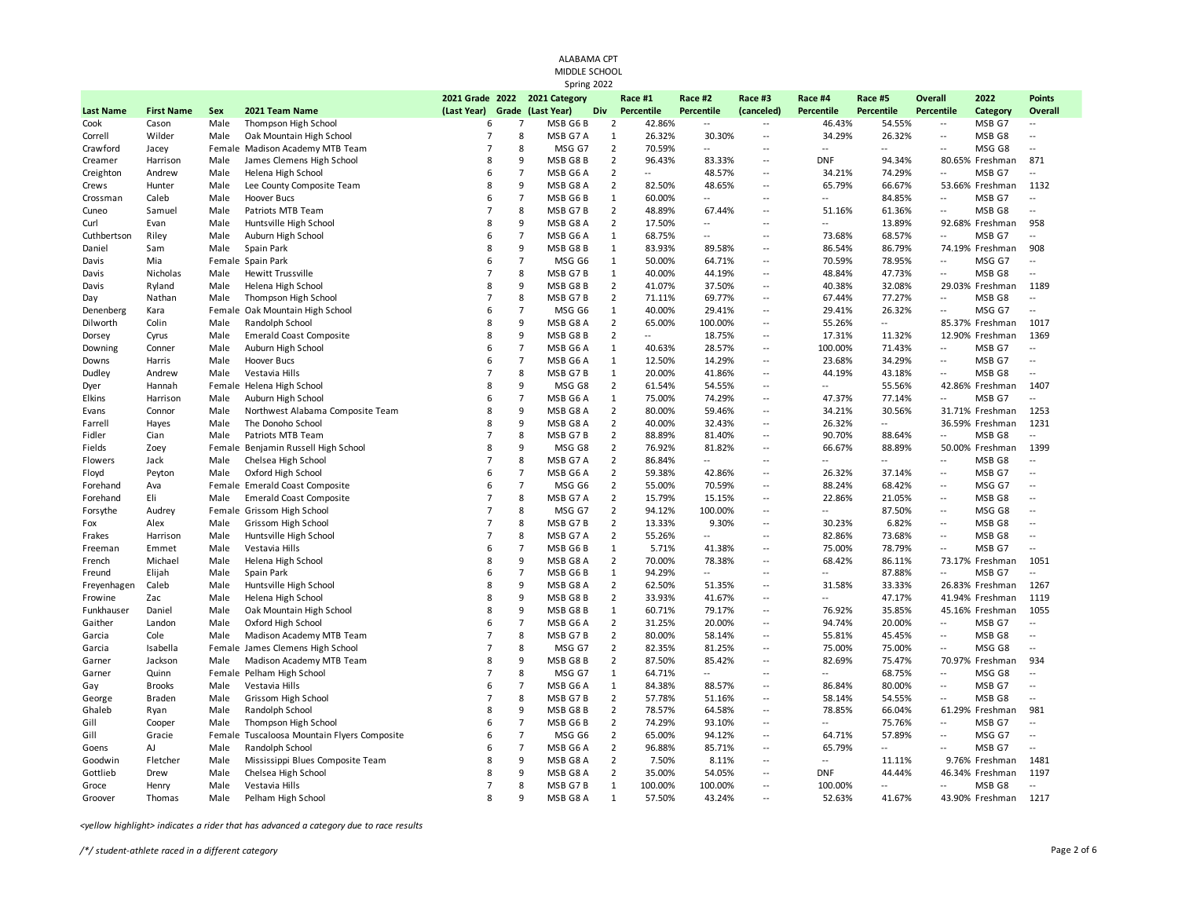|                  |                   |        |                                      |                                              |                |                   | ALABAMA CPT<br>MIDDLE SCHOOL<br>Spring 2022 |                |                       |                          |                          |                       |                          |                              |                  |                          |
|------------------|-------------------|--------|--------------------------------------|----------------------------------------------|----------------|-------------------|---------------------------------------------|----------------|-----------------------|--------------------------|--------------------------|-----------------------|--------------------------|------------------------------|------------------|--------------------------|
| <b>Last Name</b> | <b>First Name</b> | Sex    | 2021 Team Name                       | 2021 Grade 2022 2021 Category<br>(Last Year) |                | Grade (Last Year) | <b>Div</b>                                  |                | Race #1<br>Percentile | Race #2<br>Percentile    | Race #3<br>(canceled)    | Race #4<br>Percentile | Race #5<br>Percentile    | <b>Overall</b><br>Percentile | 2022<br>Category | <b>Points</b><br>Overall |
| Cook             | Cason             | Male   | Thompson High School                 | 6                                            | $\overline{7}$ |                   | MSB G6B                                     | $\overline{2}$ | 42.86%                | $\overline{\phantom{a}}$ | $\overline{\phantom{a}}$ | 46.43%                | 54.55%                   | $\sim$                       | MSB G7           |                          |
| Correll          | Wilder            | Male   | Oak Mountain High School             | $\overline{7}$                               | 8              |                   | MSB G7 A                                    | $\mathbf{1}$   | 26.32%                | 30.30%                   | $\overline{a}$           | 34.29%                | 26.32%                   | $\overline{\phantom{a}}$     | MSB G8           | $\sim$                   |
| Crawford         | Jacey             |        | Female Madison Academy MTB Team      | $\overline{7}$                               | 8              |                   | MSG G7                                      | $\overline{2}$ | 70.59%                | $\sim$                   | ÷.                       | $\ddotsc$             | 44                       | $\overline{\phantom{a}}$     | MSG G8           | ÷.                       |
| Creamer          | Harrison          | Male   | James Clemens High School            | 8                                            | 9              |                   | MSB G8 B                                    | $\overline{2}$ | 96.43%                | 83.33%                   | $\ddot{\phantom{a}}$     | <b>DNF</b>            | 94.34%                   |                              | 80.65% Freshman  | 871                      |
| Creighton        | Andrew            | Male   | Helena High School                   | 6                                            | $\overline{7}$ |                   | MSB G6 A                                    | $\overline{2}$ | ω.                    | 48.57%                   | ÷.                       | 34.21%                | 74.29%                   | $\sim$                       | MSB G7           | $\overline{a}$           |
| Crews            | Hunter            | Male   | Lee County Composite Team            | 8                                            | 9              |                   | MSB G8 A                                    | $\overline{2}$ | 82.50%                | 48.65%                   | $\ddot{\phantom{a}}$     | 65.79%                | 66.67%                   |                              | 53.66% Freshman  | 1132                     |
| Crossman         | Caleb             | Male   | Hoover Bucs                          | 6                                            | $\overline{7}$ |                   | MSB G6B                                     | $\mathbf{1}$   | 60.00%                | $\overline{\phantom{a}}$ | $\ddot{\phantom{a}}$     | $\overline{a}$        | 84.85%                   | $\ddotsc$                    | MSB G7           | $\overline{\phantom{a}}$ |
| Cuneo            | Samuel            | Male   | Patriots MTB Team                    | $\overline{7}$                               | 8              |                   | MSB G7B                                     | $\overline{2}$ | 48.89%                | 67.44%                   | ÷.                       | 51.16%                | 61.36%                   | $\sim$                       | MSB G8           | $\sim$                   |
| Curl             | Evan              | Male   | Huntsville High School               | 8                                            | 9              |                   | MSB G8 A                                    | $\overline{2}$ | 17.50%                | $\overline{\phantom{a}}$ | $\sim$                   | $\overline{a}$        | 13.89%                   |                              | 92.68% Freshman  | 958                      |
| Cuthbertson      | Riley             | Male   | Auburn High School                   | 6                                            | $\overline{7}$ |                   | MSB G6 A                                    | $\mathbf{1}$   | 68.75%                | $\sim$                   | ÷.                       | 73.68%                | 68.57%                   | $\sim$                       | MSB G7           | $\sim$                   |
| Daniel           | Sam               | Male   | Spain Park                           | 8                                            | 9              |                   | MSB G8 B                                    | $\mathbf{1}$   | 83.93%                | 89.58%                   | $\overline{\phantom{a}}$ | 86.54%                | 86.79%                   |                              | 74.19% Freshman  | 908                      |
| Davis            | Mia               |        | Female Spain Park                    | 6                                            | $\overline{7}$ |                   | MSG G6                                      | $\mathbf{1}$   | 50.00%                | 64.71%                   | $\sim$                   | 70.59%                | 78.95%                   | $\sim$ $\sim$                | MSG G7           | $\sim$ $\sim$            |
| Davis            | Nicholas          | Male   | <b>Hewitt Trussville</b>             | $\overline{7}$                               | 8              |                   | MSB G7B                                     | $\mathbf{1}$   | 40.00%                | 44.19%                   | $\overline{a}$           | 48.84%                | 47.73%                   | $\sim$                       | MSB G8           | $\sim$ $\sim$            |
| Davis            | Ryland            | Male   | Helena High School                   | 8                                            | 9              |                   | MSB G8B                                     | $\overline{2}$ | 41.07%                | 37.50%                   | $\ddotsc$                | 40.38%                | 32.08%                   |                              | 29.03% Freshman  | 1189                     |
| Day              | Nathan            | Male   | Thompson High School                 | $\overline{7}$                               | 8              |                   | MSB G7B                                     | $\overline{2}$ | 71.11%                | 69.77%                   | $\sim$                   | 67.44%                | 77.27%                   | $\mathbb{L}$ .               | MSB G8           | $\sim$ $\sim$            |
| Denenberg        | Kara              | Female | Oak Mountain High School             | 6                                            | $\overline{7}$ |                   | MSG G6                                      | $\mathbf{1}$   | 40.00%                | 29.41%                   | ÷.                       | 29.41%                | 26.32%                   | $\sim$                       | MSG G7           | $\sim$ $\sim$            |
| Dilworth         | Colin             | Male   | Randolph School                      | 8                                            | 9              |                   | MSB G8 A                                    | $\overline{2}$ | 65.00%                | 100.00%                  | $\overline{a}$           | 55.26%                | $\overline{\phantom{a}}$ |                              | 85.37% Freshman  | 1017                     |
| Dorsey           | Cyrus             | Male   | Emerald Coast Composite              | 8                                            | 9              |                   | MSB G8B                                     | $\overline{2}$ | $\mathbb{L}$ .        | 18.75%                   | $\sim$                   | 17.31%                | 11.32%                   |                              | 12.90% Freshman  | 1369                     |
| Downing          | Conner            | Male   | Auburn High School                   | 6                                            | $\overline{7}$ |                   | MSB G6 A                                    | $\mathbf{1}$   | 40.63%                | 28.57%                   | $\overline{a}$           | 100.00%               | 71.43%                   | $\overline{\phantom{a}}$     | MSB G7           | $\sim$                   |
| Downs            | Harris            | Male   | Hoover Bucs                          | 6                                            | $\overline{7}$ |                   | MSB G6A                                     | $\mathbf{1}$   | 12.50%                | 14.29%                   | $\sim$                   | 23.68%                | 34.29%                   | $\sim$                       | MSB G7           | $\overline{\phantom{a}}$ |
| Dudley           | Andrew            | Male   | Vestavia Hills                       | $\overline{7}$                               | 8              |                   | MSB G7B                                     | $\mathbf{1}$   | 20.00%                | 41.86%                   | $\overline{\phantom{a}}$ | 44.19%                | 43.18%                   | $\sim$                       | MSB G8           | $\overline{\phantom{a}}$ |
| Dyer             | Hannah            |        | Female Helena High School            | 8                                            | 9              |                   | MSG G8                                      | $\overline{2}$ | 61.54%                | 54.55%                   | ÷.                       | $\overline{a}$        | 55.56%                   |                              | 42.86% Freshman  | 1407                     |
| Elkins           | Harrison          | Male   | Auburn High School                   | 6                                            | $\overline{7}$ |                   | MSB G6 A                                    | $\mathbf{1}$   | 75.00%                | 74.29%                   | $\overline{\phantom{a}}$ | 47.37%                | 77.14%                   | $\mathbb{L}$ .               | MSB G7           | $\sim$                   |
| Evans            | Connor            | Male   | Northwest Alabama Composite Team     | 8                                            | 9              |                   | MSB G8 A                                    | $\overline{2}$ | 80.00%                | 59.46%                   | $\sim$                   | 34.21%                | 30.56%                   |                              | 31.71% Freshman  | 1253                     |
| Farrell          | Hayes             | Male   | The Donoho School                    | 8                                            | 9              |                   | MSB G8 A                                    | $\overline{2}$ | 40.00%                | 32.43%                   | $\sim$                   | 26.32%                | 44                       |                              | 36.59% Freshman  | 1231                     |
| Fidler           | Cian              | Male   | Patriots MTB Team                    | $\overline{7}$                               | 8              |                   | MSB G7B                                     | $\overline{2}$ | 88.89%                | 81.40%                   | $\ddot{\phantom{a}}$     | 90.70%                | 88.64%                   | $\sim$                       | MSB G8           | $\overline{a}$           |
| Fields           | Zoey              |        | Female Benjamin Russell High School  | 8                                            | 9              |                   | MSG G8                                      | $\overline{2}$ | 76.92%                | 81.82%                   | $\ddot{\phantom{a}}$     | 66.67%                | 88.89%                   |                              | 50.00% Freshman  | 1399                     |
| Flowers          | Jack              | Male   | Chelsea High School                  | $\overline{7}$                               | 8              |                   | MSB G7 A                                    | $\overline{2}$ | 86.84%                | $\sim$                   | $\sim$                   | $\overline{a}$        | Ξ.                       | Ξ.                           | MSB G8           | $\sim$                   |
| Floyd            | Peyton            | Male   | Oxford High School                   | 6                                            | $\overline{7}$ |                   | MSB G6 A                                    | $\overline{2}$ | 59.38%                | 42.86%                   | $\ddot{\phantom{a}}$     | 26.32%                | 37.14%                   | $\ddotsc$                    | MSB G7           | $\overline{a}$           |
| Forehand         | Ava               |        | Female Emerald Coast Composite       | 6                                            | $\overline{7}$ |                   | MSG G6                                      | $\overline{2}$ | 55.00%                | 70.59%                   | $\ddot{\phantom{a}}$     | 88.24%                | 68.42%                   | $\sim$                       | MSG G7           | $\sim$                   |
| Forehand         | Eli               | Male   | <b>Emerald Coast Composite</b>       | $\overline{7}$                               | 8              |                   | MSB G7 A                                    | $\overline{2}$ | 15.79%                | 15.15%                   | ÷.                       | 22.86%                | 21.05%                   | $\overline{\phantom{a}}$     | MSB G8           | $\sim$                   |
| Forsythe         | Audrey            |        | Female Grissom High School           | $\overline{7}$                               | 8              |                   | MSG G7                                      | $\overline{2}$ | 94.12%                | 100.00%                  | $\overline{\phantom{a}}$ | $\overline{a}$        | 87.50%                   | $\sim$                       | MSG G8           | $\sim$                   |
| Fox              | Alex              | Male   | Grissom High School                  | $\overline{7}$                               | 8              |                   | MSB G7B                                     | $\overline{2}$ | 13.33%                | 9.30%                    | ÷.                       | 30.23%                | 6.82%                    | $\sim$                       | MSB G8           | ÷.                       |
| Frakes           | Harrison          | Male   | Huntsville High School               | $\overline{7}$                               | 8              |                   | MSB G7 A                                    | $\overline{2}$ | 55.26%                | $\sim$                   | $\sim$                   | 82.86%                | 73.68%                   | $\sim$ $\sim$                | MSB G8           | $\sim$ $\sim$            |
| Freeman          | Emmet             | Male   | Vestavia Hills                       | 6                                            | $\overline{7}$ |                   | MSB G6 B                                    | $\mathbf{1}$   | 5.71%                 | 41.38%                   | $\overline{\phantom{a}}$ | 75.00%                | 78.79%                   | $\sim$                       | MSB G7           | $\sim$                   |
| French           | Michael           | Male   | Helena High School                   | $\mathbf{R}$                                 | 9              |                   | MSB G8 A                                    | $\overline{2}$ | 70.00%                | 78.38%                   | $\sim$                   | 68.42%                | 86.11%                   |                              | 73.17% Freshman  | 1051                     |
| Freund           | Elijah            | Male   | Spain Park                           | 6                                            | $\overline{7}$ |                   | MSB G6B                                     | $\mathbf{1}$   | 94.29%                | $\sim$                   | ÷.                       | ä.                    | 87.88%                   | $\sim$                       | MSB G7           |                          |
| Freyenhagen      | Caleb             | Male   | Huntsville High School               | 8                                            | 9              |                   | MSB G8 A                                    | $\overline{2}$ | 62.50%                | 51.35%                   | $\overline{\phantom{a}}$ | 31.58%                | 33.33%                   |                              | 26.83% Freshman  | 1267                     |
| Frowine          | Zac               | Male   | Helena High School                   | 8                                            | 9              |                   | MSB G8B                                     | $\overline{2}$ | 33.93%                | 41.67%                   | ÷.                       | ÷.                    | 47.17%                   |                              | 41.94% Freshman  | 1119                     |
| Funkhauser       | Daniel            | Male   | Oak Mountain High School             | 8                                            | 9              |                   | MSB G8B                                     | $\mathbf{1}$   | 60.71%                | 79.17%                   | $\ddotsc$                | 76.92%                | 35.85%                   |                              | 45.16% Freshman  | 1055                     |
| Gaither          | Landon            | Male   | Oxford High School                   | 6                                            | $\overline{7}$ |                   | MSB G6A                                     | $\overline{2}$ | 31.25%                | 20.00%                   | $\sim$                   | 94.74%                | 20.00%                   | $\mathbb{L}$ .               | MSB G7           | $\sim$                   |
| Garcia           | Cole              | Male   | Madison Academy MTB Team             | $\overline{7}$                               | 8              |                   | MSB G7B                                     | $\overline{2}$ | 80.00%                | 58.14%                   | $\overline{\phantom{a}}$ | 55.81%                | 45.45%                   | $\sim$                       | MSB G8           | $\sim$                   |
| Garcia           | Isabella          |        | Female James Clemens High School     | $\overline{7}$                               | 8              |                   | MSG G7                                      | $\overline{2}$ | 82.35%                | 81.25%                   | ÷.                       | 75.00%                | 75.00%                   | $\sim$                       | MSG G8           | $\sim$                   |
| Garner           | Jackson           | Male   | Madison Academy MTB Team             | 8                                            | 9              |                   | MSB G8B                                     | $\overline{2}$ | 87.50%                | 85.42%                   | $\overline{\phantom{a}}$ | 82.69%                | 75.47%                   |                              | 70.97% Freshman  | 934                      |
| Garner           | Quinn             |        | Female Pelham High School            | $\overline{7}$                               | 8              |                   | MSG G7                                      | $\mathbf{1}$   | 64.71%                | $\sim$                   | ц.                       | $\ddot{\phantom{a}}$  | 68.75%                   | $\sim$                       | MSG G8           | $\sim$                   |
| Gay              | <b>Brooks</b>     | Male   | Vestavia Hills                       | 6                                            | $\overline{7}$ |                   | MSB G6A                                     | $\mathbf{1}$   | 84.38%                | 88.57%                   | $\sim$                   | 86.84%                | 80.00%                   | $\sim$                       | MSB G7           | $\mathbb{L}$             |
| George           | <b>Braden</b>     | Male   | Grissom High School                  | $\overline{7}$                               | 8              |                   | MSB G7B                                     | $\overline{2}$ | 57.78%                | 51.16%                   | $\ddot{\phantom{a}}$     | 58.14%                | 54.55%                   | $\overline{\phantom{a}}$     | MSB G8           | $\ddot{\phantom{a}}$     |
| Ghaleb           | Ryan              | Male   | Randolph School                      | 8                                            | 9              |                   | MSB G8B                                     | $\overline{2}$ | 78.57%                | 64.58%                   | $\mathbb{L}^2$           | 78.85%                | 66.04%                   |                              | 61.29% Freshman  | 981                      |
| Gill             | Cooper            | Male   | Thompson High School                 | 6                                            | $\overline{7}$ |                   | MSB G6 B                                    | $\overline{2}$ | 74.29%                | 93.10%                   | $\ddot{\phantom{a}}$     | ÷.                    | 75.76%                   | $\overline{\phantom{a}}$     | MSB G7           | $\overline{a}$           |
| Gill             | Gracie            | Female | Tuscaloosa Mountain Flyers Composite | 6                                            | $\overline{7}$ |                   | MSG G6                                      | $\overline{2}$ | 65.00%                | 94.12%                   | ÷.                       | 64.71%                | 57.89%                   | $\mathbb{L}$ .               | MSG G7           | $\overline{a}$           |
| Goens            | AJ                | Male   | Randolph School                      | 6                                            | $\overline{7}$ |                   | MSB G6 A                                    | $\overline{2}$ | 96.88%                | 85.71%                   | $\ddot{\phantom{a}}$     | 65.79%                | Ξ.                       | $\sim$ $\sim$                | MSB G7           | $\sim$                   |
| Goodwin          | Fletcher          | Male   | Mississippi Blues Composite Team     | 8                                            | 9              |                   | MSB G8 A                                    | $\overline{2}$ | 7.50%                 | 8.11%                    | $\ddot{\phantom{a}}$     | $\overline{a}$        | 11.11%                   |                              | 9.76% Freshman   | 1481                     |
| Gottlieb         | Drew              | Male   | Chelsea High School                  | 8                                            | 9              |                   | MSB G8 A                                    | $\overline{2}$ | 35.00%                | 54.05%                   | $\overline{\phantom{a}}$ | <b>DNF</b>            | 44.44%                   |                              | 46.34% Freshman  | 1197                     |
| Groce            | Henry             | Male   | Vestavia Hills                       | $\overline{7}$                               | 8              |                   | MSB G7B                                     | $\mathbf{1}$   | 100.00%               | 100.00%                  | $\sim$                   | 100.00%               |                          | $\sim$                       | MSB G8           |                          |
| Groover          | Thomas            | Male   | Pelham High School                   | $\mathbf{R}$                                 | 9              |                   | MSB G8 A                                    | $\mathbf{1}$   | 57.50%                | 43.24%                   | $\sim$                   | 52.63%                | 41.67%                   |                              | 43.90% Freshman  | 1217                     |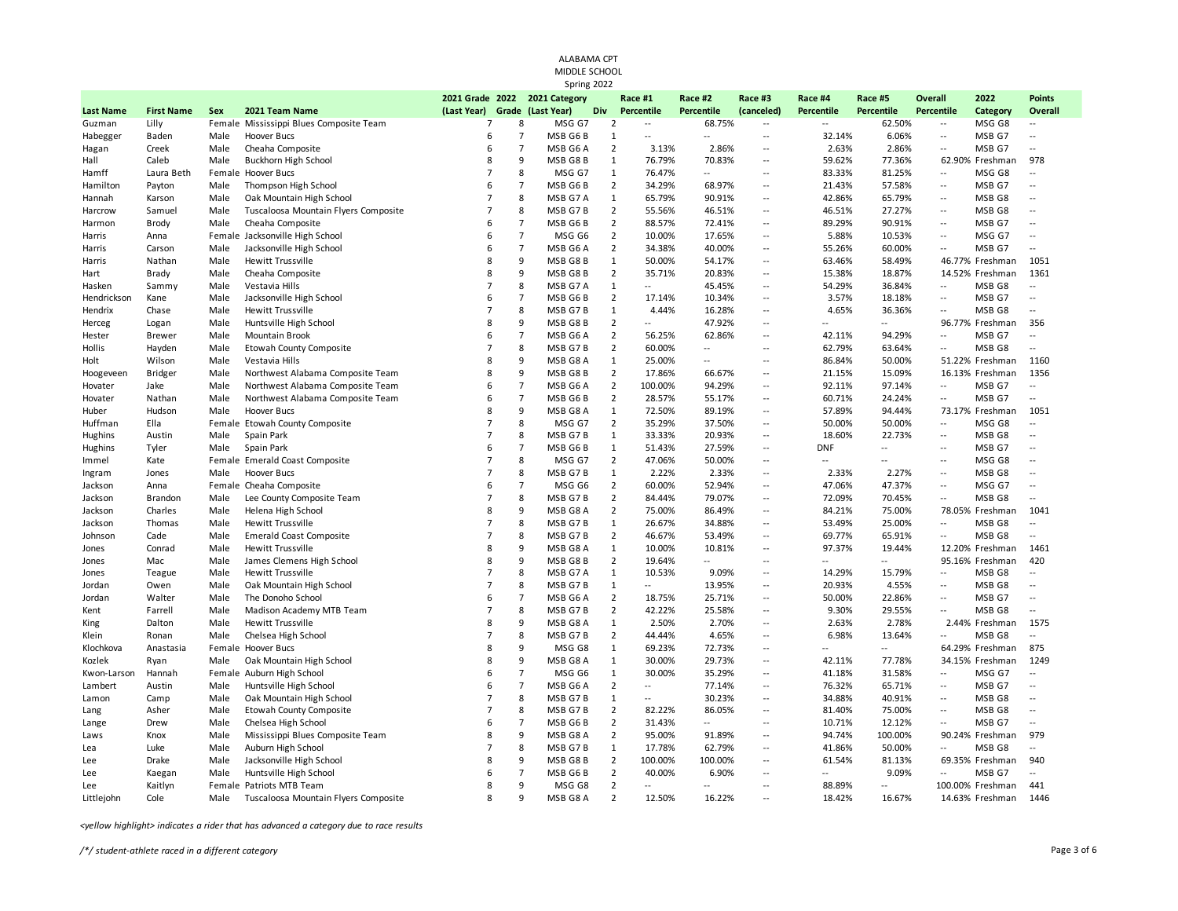|                  |                   |              |                                                               |                               |                     | ALABAMA CPT<br>MIDDLE SCHOOL |                                |                                            |                          |                                           |                         |                   |                                                      |                   |                                  |
|------------------|-------------------|--------------|---------------------------------------------------------------|-------------------------------|---------------------|------------------------------|--------------------------------|--------------------------------------------|--------------------------|-------------------------------------------|-------------------------|-------------------|------------------------------------------------------|-------------------|----------------------------------|
|                  |                   |              |                                                               | 2021 Grade 2022               |                     | Spring 2022<br>2021 Category |                                | Race #1                                    | Race #2                  | Race #3                                   | Race #4                 | Race #5           | <b>Overall</b>                                       | 2022              | <b>Points</b>                    |
| <b>Last Name</b> | <b>First Name</b> | Sex          | 2021 Team Name                                                | (Last Year)<br>$\overline{7}$ |                     | Grade (Last Year)            | Div                            | Percentile                                 | Percentile               | (canceled)                                | <b>Percentile</b>       | <b>Percentile</b> | <b>Percentile</b>                                    | Category          | <b>Overall</b>                   |
| Guzman           | Lilly<br>Baden    | Male         | Female Mississippi Blues Composite Team<br><b>Hoover Bucs</b> | 6                             | 8<br>$\overline{7}$ | MSG G7<br>MSB G6B            | $\overline{2}$<br>$\mathbf{1}$ | $\overline{\phantom{a}}$<br>$\overline{a}$ | 68.75%<br>÷.             | $\sim$<br>$\mathbb{L}$                    | $\sim$ $\sim$<br>32.14% | 62.50%<br>6.06%   | $\overline{\phantom{a}}$<br>$\overline{\phantom{a}}$ | MSG G8<br>MSB G7  | $\overline{a}$                   |
| Habegger         |                   |              |                                                               |                               | $\overline{7}$      |                              | $\overline{2}$                 | 3.13%                                      |                          | $\overline{a}$                            | 2.63%                   | 2.86%             | $\sim$                                               | MSB G7            |                                  |
| Hagan<br>Hall    | Creek<br>Caleb    | Male<br>Male | Cheaha Composite                                              | 6<br>8                        | 9                   | MSB G6 A<br>MSB G8B          | $\mathbf{1}$                   | 76.79%                                     | 2.86%<br>70.83%          | ÷.                                        |                         |                   |                                                      |                   | 978                              |
| Hamff            |                   |              | Buckhorn High School                                          | $\overline{7}$                | 8                   | MSG G7                       | $\mathbf{1}$                   | 76.47%                                     | ÷.                       | Ξ.                                        | 59.62%<br>83.33%        | 77.36%<br>81.25%  | $\overline{\phantom{a}}$                             | 62.90% Freshman   | ÷.                               |
| Hamilton         | Laura Beth        | Male         | Female Hoover Bucs                                            | 6                             | $\overline{7}$      | MSB G6B                      | $\overline{2}$                 | 34.29%                                     | 68.97%                   | $\mathbb{L}$                              |                         |                   | $\overline{\phantom{a}}$                             | MSG G8<br>MSB G7  | ÷.                               |
| Hannah           | Payton<br>Karson  | Male         | Thompson High School<br>Oak Mountain High School              | $\overline{7}$                | 8                   | MSB G7 A                     | $\mathbf{1}$                   | 65.79%                                     | 90.91%                   | $\overline{a}$                            | 21.43%<br>42.86%        | 57.58%<br>65.79%  | $\overline{a}$                                       | MSB G8            | ÷.                               |
| Harcrow          | Samuel            | Male         |                                                               | $\overline{7}$                | 8                   | MSB G7B                      | $\overline{2}$                 | 55.56%                                     | 46.51%                   | $\mathbb{L}$                              | 46.51%                  | 27.27%            | $\overline{\phantom{a}}$                             | MSB <sub>G8</sub> | $\sim$                           |
|                  | Brody             | Male         | Tuscaloosa Mountain Flyers Composite<br>Cheaha Composite      | 6                             | $\overline{7}$      | MSB G6B                      | $\overline{2}$                 | 88.57%                                     | 72.41%                   | $\overline{a}$                            | 89.29%                  | 90.91%            | $\overline{a}$                                       | MSB G7            | $\overline{a}$                   |
| Harmon           |                   |              |                                                               | 6                             | $\overline{7}$      | MSG G6                       | $\overline{2}$                 | 10.00%                                     | 17.65%                   | $\mathbb{L}$                              | 5.88%                   | 10.53%            | $\mathbb{L}^2$                                       | MSG G7            | $\overline{\phantom{a}}$         |
| Harris           | Anna              |              | Female Jacksonville High School                               | 6                             | $\overline{7}$      |                              | $\overline{2}$                 |                                            |                          | $\overline{\phantom{a}}$                  |                         |                   | $\overline{\phantom{a}}$                             |                   | $\overline{a}$                   |
| Harris           | Carson            | Male         | Jacksonville High School                                      | 8                             | 9                   | MSB G6 A                     | $\mathbf{1}$                   | 34.38%                                     | 40.00%                   | $\ddotsc$                                 | 55.26%<br>63.46%        | 60.00%            |                                                      | MSB G7            | 1051                             |
| Harris           | Nathan            | Male         | Hewitt Trussville                                             | 8                             | 9                   | MSB G8B                      | $\overline{2}$                 | 50.00%                                     | 54.17%                   | $\overline{\phantom{a}}$                  | 15.38%                  | 58.49%            |                                                      | 46.77% Freshman   |                                  |
| Hart             | Brady             | Male         | Cheaha Composite                                              | $\overline{7}$                | 8                   | MSB G8B                      |                                | 35.71%<br>$\sim$                           | 20.83%                   | $\overline{\phantom{a}}$                  |                         | 18.87%            | $\overline{\phantom{a}}$                             | 14.52% Freshman   | 1361<br>$\overline{\phantom{a}}$ |
| Hasken           | Sammy             | Male         | Vestavia Hills                                                | 6                             | $\overline{7}$      | MSB G7 A                     | $\mathbf{1}$<br>$\overline{2}$ |                                            | 45.45%                   |                                           | 54.29%                  | 36.84%            |                                                      | MSB G8            |                                  |
| Hendrickson      | Kane              | Male         | Jacksonville High School                                      | $\overline{7}$                |                     | MSB G6 B                     |                                | 17.14%                                     | 10.34%                   | $\overline{\phantom{a}}$<br>$\sim$        | 3.57%                   | 18.18%            | $\overline{\phantom{a}}$                             | MSB G7            | $\overline{a}$<br>$\mathbb{L}$ . |
| Hendrix          | Chase             | Male         | Hewitt Trussville                                             | 8                             | 8<br>9              | MSB G7B                      | $\mathbf{1}$                   | 4.44%                                      | 16.28%                   |                                           | 4.65%                   | 36.36%            | $\overline{\phantom{a}}$                             | MSB G8            |                                  |
| Herceg           | Logan             | Male         | Huntsville High School                                        |                               |                     | MSB G8B                      | $\overline{2}$                 | $\overline{\phantom{a}}$                   | 47.92%                   | Ξ.                                        |                         | $\sim$ $\sim$     |                                                      | 96.77% Freshman   | 356                              |
| Hester           | <b>Brewer</b>     | Male         | Mountain Brook                                                | 6<br>$\overline{7}$           | $\overline{7}$<br>8 | MSB G6 A                     | $\overline{2}$                 | 56.25%                                     | 62.86%                   | Ξ.                                        | 42.11%                  | 94.29%            | $\sim$                                               | MSB G7            | $\overline{\phantom{a}}$         |
| Hollis           | Hayden            | Male         | Etowah County Composite                                       |                               |                     | MSB G7B                      | $\overline{2}$                 | 60.00%                                     | $\overline{\phantom{a}}$ | Ξ.                                        | 62.79%                  | 63.64%            | $\overline{\phantom{a}}$                             | MSB G8            | $\overline{\phantom{a}}$         |
| Holt             | Wilson            | Male         | Vestavia Hills                                                | 8                             | 9                   | MSB G8 A                     | $\mathbf{1}$                   | 25.00%                                     | $\overline{a}$           | $\ddotsc$                                 | 86.84%                  | 50.00%            |                                                      | 51.22% Freshman   | 1160                             |
| Hoogeveen        | <b>Bridger</b>    | Male         | Northwest Alabama Composite Team                              | 8                             | 9<br>$\overline{7}$ | MSB G8B                      | $\overline{2}$                 | 17.86%                                     | 66.67%                   | Ξ.<br>$\sim$ $\sim$                       | 21.15%                  | 15.09%            | $\sim$                                               | 16.13% Freshman   | 1356<br>$\sim$                   |
| Hovater          | Jake              | Male         | Northwest Alabama Composite Team                              | 6                             |                     | MSB G6 A                     | $\overline{2}$                 | 100.00%                                    | 94.29%                   |                                           | 92.11%                  | 97.14%            |                                                      | MSB G7            |                                  |
| Hovater          | Nathan            | Male         | Northwest Alabama Composite Team                              | 6                             | $\overline{7}$<br>9 | MSB G6 B                     | $\overline{2}$                 | 28.57%                                     | 55.17%                   | $\overline{\phantom{a}}$<br>$\sim$ $\sim$ | 60.71%                  | 24.24%            | $\overline{\phantom{a}}$                             | MSB G7            | $\overline{\phantom{a}}$         |
| Huber            | Hudson            | Male         | Hoover Bucs                                                   | 8<br>$\overline{7}$           | 8                   | MSB G8 A                     | $\mathbf{1}$                   | 72.50%                                     | 89.19%                   |                                           | 57.89%                  | 94.44%            |                                                      | 73.17% Freshman   | 1051                             |
| Huffman          | Ella              |              | Female Etowah County Composite                                | $\overline{7}$                |                     | MSG G7                       | $\overline{2}$                 | 35.29%                                     | 37.50%                   | $\overline{a}$                            | 50.00%                  | 50.00%            | $\overline{\phantom{a}}$                             | MSG G8            | $\overline{a}$                   |
| Hughins          | Austin            | Male         | Spain Park                                                    | 6                             | 8                   | MSB G7B                      | $\mathbf{1}$                   | 33.33%                                     | 20.93%                   | $\mathbb{L}$                              | 18.60%                  | 22.73%            | $\mathbb{L}$                                         | MSB G8            | $\sim$                           |
| Hughins          | Tyler             | Male         | Spain Park                                                    | $\overline{7}$                | $\overline{7}$      | MSB G6B                      | $\mathbf{1}$                   | 51.43%                                     | 27.59%                   | $\sim$                                    | <b>DNF</b>              | $\sim$            | $\overline{a}$                                       | MSB G7            | $\overline{a}$                   |
| Immel            | Kate              |              | Female Emerald Coast Composite                                |                               | 8                   | MSG G7                       | $\overline{2}$                 | 47.06%                                     | 50.00%                   | $\sim$ $\sim$                             | $\sim$                  | $\sim$            | $\sim$                                               | MSG G8            | $\sim$                           |
| Ingram           | Jones             | Male         | Hoover Bucs                                                   | $\overline{7}$                | 8                   | MSB G7B                      | $\mathbf{1}$                   | 2.22%                                      | 2.33%                    | $\sim$ $\sim$                             | 2.33%                   | 2.27%             | $\mathbb{L}$                                         | MSB G8            | $\overline{a}$                   |
| Jackson          | Anna              |              | Female Cheaha Composite                                       | 6                             | $\overline{7}$      | MSG G6                       | $\overline{2}$                 | 60.00%                                     | 52.94%                   | $\sim$                                    | 47.06%                  | 47.37%            | $\sim$                                               | MSG G7            | $\sim$                           |
| Jackson          | Brandon           | Male         | Lee County Composite Team                                     | $\overline{7}$                | 8                   | MSB G7B                      | $\overline{2}$                 | 84.44%                                     | 79.07%                   | $\overline{\phantom{a}}$                  | 72.09%                  | 70.45%            | $\ddotsc$                                            | MSB G8            | $\sim$                           |
| Jackson          | Charles           | Male         | Helena High School                                            | 8                             | 9                   | MSB G8 A                     | $\overline{2}$                 | 75.00%                                     | 86.49%                   | $\mathbb{L}$                              | 84.21%                  | 75.00%            |                                                      | 78.05% Freshman   | 1041                             |
| Jackson          | Thomas            | Male         | <b>Hewitt Trussville</b>                                      | $\overline{7}$                | 8                   | MSB G7B                      | $\mathbf{1}$                   | 26.67%                                     | 34.88%                   | $\overline{a}$                            | 53.49%                  | 25.00%            | $\overline{\phantom{a}}$                             | MSB G8            | $\overline{a}$                   |
| Johnson          | Cade              | Male         | <b>Emerald Coast Composite</b>                                | $\overline{7}$                | 8                   | MSB G7B                      | $\overline{2}$                 | 46.67%                                     | 53.49%                   | $\ddotsc$                                 | 69.77%                  | 65.91%            | $\sim$                                               | MSB G8            | $\overline{a}$                   |
| Jones            | Conrad            | Male         | <b>Hewitt Trussville</b>                                      | 8                             | 9                   | MSB G8 A                     | $\mathbf{1}$                   | 10.00%                                     | 10.81%                   | $\overline{\phantom{a}}$                  | 97.37%                  | 19.44%            |                                                      | 12.20% Freshman   | 1461                             |
| Jones            | Mac               | Male         | James Clemens High School                                     | 8                             | 9                   | MSB G8B                      | $\overline{2}$                 | 19.64%                                     | $\overline{a}$           | $\overline{a}$                            |                         | $\sim$            |                                                      | 95.16% Freshman   | 420                              |
| Jones            | Teague            | Male         | <b>Hewitt Trussville</b>                                      | $\overline{7}$                | 8                   | MSB G7 A                     | $\mathbf{1}$                   | 10.53%                                     | 9.09%                    | $\overline{\phantom{a}}$                  | 14.29%                  | 15.79%            | $\overline{\phantom{a}}$                             | MSB G8            | $\overline{\phantom{a}}$         |
| Jordan           | Owen              | Male         | Oak Mountain High School                                      | $\overline{7}$                | 8                   | MSB G7B                      | $\mathbf{1}$                   | $\sim$                                     | 13.95%                   | ÷.                                        | 20.93%                  | 4.55%             | $\sim$                                               | MSB G8            | $\overline{\phantom{a}}$         |
| Jordan           | Walter            | Male         | The Donoho School                                             | 6                             | $\overline{7}$      | MSB G6 A                     | $\overline{2}$                 | 18.75%                                     | 25.71%                   | $\overline{\phantom{a}}$                  | 50.00%                  | 22.86%            | $\overline{\phantom{a}}$                             | MSB G7            | $\mathbf{L}$                     |
| Kent             | Farrell           | Male         | Madison Academy MTB Team                                      | $\overline{7}$                | 8                   | MSB G7B                      | $\overline{2}$                 | 42.22%                                     | 25.58%                   | $\mathbb{H}^2$                            | 9.30%                   | 29.55%            | $\sim$                                               | MSB G8            | $\sim$                           |
| King             | Dalton            | Male         | <b>Hewitt Trussville</b>                                      | 8                             | 9                   | MSB G8 A                     | 1                              | 2.50%                                      | 2.70%                    | $\overline{\phantom{a}}$                  | 2.63%                   | 2.78%             |                                                      | 2.44% Freshman    | 1575                             |
| Klein            | Ronan             | Male         | Chelsea High School                                           | $\overline{7}$                | 8                   | MSB G7B                      | $\overline{2}$                 | 44.44%                                     | 4.65%                    | $\ddotsc$                                 | 6.98%                   | 13.64%            | $\sim$                                               | MSB G8            | $\overline{a}$                   |
| Klochkova        | Anastasia         |              | Female Hoover Bucs                                            | 8                             | 9                   | MSG G8                       | $\mathbf{1}$                   | 69.23%                                     | 72.73%                   | $\overline{\phantom{a}}$                  |                         | $\sim$ $\sim$     |                                                      | 64.29% Freshman   | 875                              |
| Kozlek           | Ryan              | Male         | Oak Mountain High School                                      | 8                             | 9                   | MSB G8 A                     | $\mathbf{1}$                   | 30.00%                                     | 29.73%                   | $\sim$                                    | 42.11%                  | 77.78%            |                                                      | 34.15% Freshman   | 1249                             |
| Kwon-Larson      | Hannah            |              | Female Auburn High School                                     | 6                             | $\overline{7}$      | MSG G6                       | 1                              | 30.00%                                     | 35.29%                   | $\overline{\phantom{a}}$                  | 41.18%                  | 31.58%            | $\overline{\phantom{a}}$                             | MSG G7            | $\overline{a}$                   |
| Lambert          | Austin            | Male         | Huntsville High School                                        | 6                             | $\overline{7}$      | MSB G6 A                     | $\overline{2}$                 | $\overline{\phantom{a}}$                   | 77.14%                   | $\sim$                                    | 76.32%                  | 65.71%            | $\sim$                                               | MSB G7            | ÷.                               |
| Lamon            | Camp              | Male         | Oak Mountain High School                                      | $\overline{7}$                | 8                   | MSB G7B                      | 1                              | $\overline{\phantom{a}}$                   | 30.23%                   | $\overline{\phantom{a}}$                  | 34.88%                  | 40.91%            | $\overline{\phantom{a}}$                             | MSB G8            | $\overline{\phantom{a}}$         |
| Lang             | Asher             | Male         | Etowah County Composite                                       | $\overline{7}$                | 8                   | MSB G7B                      | $\overline{2}$                 | 82.22%                                     | 86.05%                   | $\sim$                                    | 81.40%                  | 75.00%            | $\overline{a}$                                       | MSB G8            | Ξ.                               |
| Lange            | Drew              | Male         | Chelsea High School                                           | 6                             | $\overline{7}$      | MSB G6 B                     | 2                              | 31.43%                                     | Ξ.                       | Ξ.                                        | 10.71%                  | 12.12%            | $\overline{\phantom{a}}$                             | MSB G7            | $\overline{\phantom{a}}$         |
| Laws             | Knox              | Male         | Mississippi Blues Composite Team                              | 8                             | 9                   | MSB G8 A                     | $\overline{2}$                 | 95.00%                                     | 91.89%                   | $\ddotsc$                                 | 94.74%                  | 100.00%           |                                                      | 90.24% Freshman   | 979                              |
| Lea              | Luke              | Male         | Auburn High School                                            | 7                             | 8                   | MSB G7B                      | 1                              | 17.78%                                     | 62.79%                   | $\overline{a}$                            | 41.86%                  | 50.00%            | $\overline{\phantom{a}}$                             | MSB G8            | $\overline{a}$                   |
| Lee              | Drake             | Male         | Jacksonville High School                                      | 8                             | 9                   | MSB G8B                      | $\overline{2}$                 | 100.00%                                    | 100.00%                  | ÷.                                        | 61.54%                  | 81.13%            |                                                      | 69.35% Freshman   | 940                              |
| Lee              | Kaegan            | Male         | Huntsville High School                                        | 6                             | $\overline{7}$      | MSB G6B                      | $\overline{2}$                 | 40.00%                                     | 6.90%                    | Ξ.                                        |                         | 9.09%             |                                                      | MSB G7            | $\overline{a}$                   |
| Lee              | Kaitlyn           |              | Female Patriots MTB Team                                      | 8                             | $\mathbf{q}$        | MSG G8                       | $\overline{2}$                 | $\sim$                                     | $\sim$                   | $\overline{a}$                            | 88.89%                  | $\sim$            |                                                      | 100.00% Freshman  | 441                              |
| Littlejohn       | Cole              | Male         | Tuscaloosa Mountain Flyers Composite                          | 8                             | q                   | MSB G8 A                     | $\overline{2}$                 | 12.50%                                     | 16.22%                   | $\overline{a}$                            | 18.42%                  | 16.67%            |                                                      | 14.63% Freshman   | 1446                             |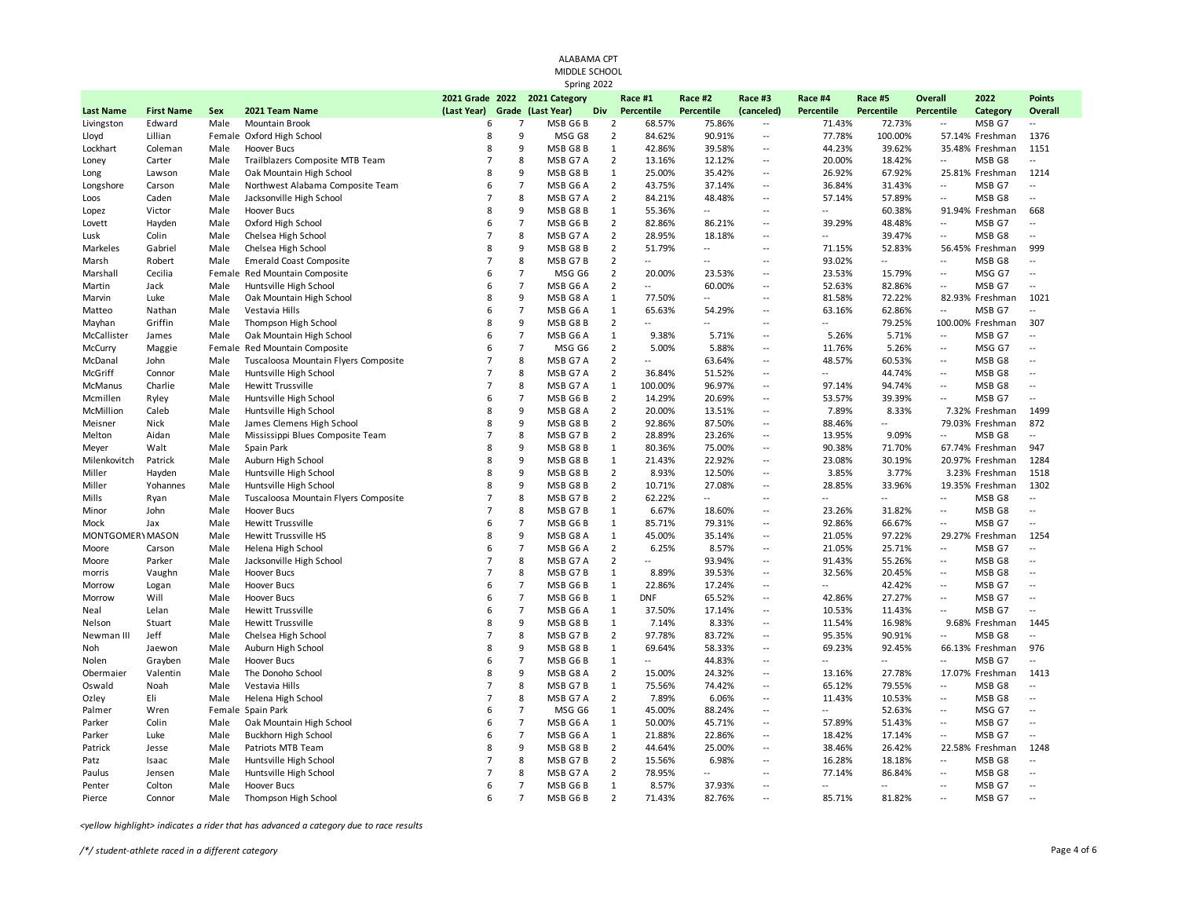|                  |                   |        |                                      |                                  |                     | ALABAMA CPT<br>MIDDLE SCHOOL                 |                |                          |                  |                                            |                          |                |                                            |                  |                          |
|------------------|-------------------|--------|--------------------------------------|----------------------------------|---------------------|----------------------------------------------|----------------|--------------------------|------------------|--------------------------------------------|--------------------------|----------------|--------------------------------------------|------------------|--------------------------|
|                  |                   |        |                                      |                                  |                     | Spring 2022<br>2021 Grade 2022 2021 Category |                | Race #1                  | Race #2          | Race #3                                    | Race #4                  | Race #5        | <b>Overall</b>                             | 2022             | <b>Points</b>            |
| <b>Last Name</b> | <b>First Name</b> | Sex    | 2021 Team Name                       | (Last Year)                      |                     | Grade (Last Year)                            | Div            | Percentile               | Percentile       | (canceled)                                 | Percentile               | Percentile     | Percentile                                 | Category         | <b>Overall</b>           |
| Livingston       | Edward            | Male   | <b>Mountain Brook</b>                | 6                                | 7                   | MSB G6 B                                     | $\overline{2}$ | 68.57%                   | 75.86%           | $\mathcal{L}_{\mathcal{F}}$                | 71.43%                   | 72.73%         | Ξ.                                         | MSB G7           |                          |
| Lloyd            | Lillian           |        | Female Oxford High School            | 8                                | 9                   | MSG G8                                       | $\overline{2}$ | 84.62%                   | 90.91%           | $\ddotsc$                                  | 77.78%                   | 100.00%        |                                            | 57.14% Freshman  | 1376                     |
| Lockhart         | Coleman           | Male   | <b>Hoover Bucs</b>                   | 8                                | 9                   | MSB G8B                                      | 1              | 42.86%                   | 39.58%           | $\overline{\phantom{a}}$                   | 44.23%                   | 39.62%         |                                            | 35.48% Freshman  | 1151                     |
| Loney            | Carter            | Male   | Trailblazers Composite MTB Team      | $\overline{7}$                   | 8                   | MSB G7 A                                     | $\overline{2}$ | 13.16%                   | 12.12%           | $\sim$                                     | 20.00%                   | 18.42%         | ÷.                                         | MSB G8           | Щ.                       |
| Long             | Lawson            | Male   | Oak Mountain High School             | 8                                | 9                   | MSB G8B                                      | 1              | 25.00%                   | 35.42%           | $\overline{\phantom{a}}$                   | 26.92%                   | 67.92%         |                                            | 25.81% Freshman  | 1214                     |
| Longshore        | Carson            | Male   | Northwest Alabama Composite Team     | 6                                | $\overline{7}$      | MSB G6 A                                     | $\overline{2}$ | 43.75%                   | 37.14%           | $\sim$                                     | 36.84%                   | 31.43%         | ÷.                                         | MSB G7           | 44                       |
| Loos             | Caden             | Male   | Jacksonville High School             | $\overline{7}$                   | 8                   | MSB G7 A                                     | $\overline{2}$ | 84.21%                   | 48.48%           | $\overline{\phantom{a}}$                   | 57.14%                   | 57.89%         | Ξ.                                         | MSB G8           | $\overline{\phantom{a}}$ |
| Lopez            | Victor            | Male   | <b>Hoover Bucs</b>                   | 8                                | 9<br>$\overline{7}$ | MSB G8B                                      | 1              | 55.36%                   | $\mathbf{L}$     | ÷.                                         |                          | 60.38%         |                                            | 91.94% Freshman  | 668                      |
| Lovett           | Hayden            | Male   | Oxford High School                   | 6                                |                     | MSB G6 B                                     | $\overline{2}$ | 82.86%                   | 86.21%           | $\overline{\phantom{a}}$                   | 39.29%                   | 48.48%         | $\overline{\phantom{a}}$                   | MSB G7           | $\overline{a}$           |
| Lusk             | Colin             | Male   | Chelsea High School                  | $\overline{7}$                   | 8                   | MSB G7 A                                     | $\overline{2}$ | 28.95%                   | 18.18%           | $\ddotsc$                                  | $\overline{\phantom{a}}$ | 39.47%         | Щ,                                         | MSB G8           | $\ddotsc$                |
| Markeles         | Gabriel           | Male   | Chelsea High School                  | 8<br>$\overline{7}$              | 9                   | MSB G8 B                                     | $\overline{2}$ | 51.79%                   | $\sim$<br>$\sim$ | ÷.                                         | 71.15%                   | 52.83%         |                                            | 56.45% Freshman  | 999                      |
| Marsh            | Robert            | Male   | <b>Emerald Coast Composite</b>       |                                  | 8                   | MSB G7B                                      | $\overline{2}$ |                          |                  | $\sim$                                     | 93.02%                   | $\sim$         | Ξ.                                         | MSB G8           |                          |
| Marshall         | Cecilia           | Female | Red Mountain Composite               | 6                                | $\overline{7}$      | MSG G6                                       | $\overline{2}$ | 20.00%                   | 23.53%           | $\overline{\phantom{a}}$                   | 23.53%                   | 15.79%         | $\overline{a}$                             | MSG G7           | $\overline{a}$           |
| Martin           | Jack              | Male   | Huntsville High School               | 6                                | $\overline{7}$      | MSB G6 A                                     | $\overline{2}$ | $\overline{\phantom{a}}$ | 60.00%           | $\ddot{\phantom{a}}$                       | 52.63%                   | 82.86%         | $\overline{\phantom{a}}$                   | MSB G7           | $\ddotsc$                |
| Marvin           | Luke              | Male   | Oak Mountain High School             | 8                                | 9                   | MSB G8 A                                     | $\mathbf{1}$   | 77.50%                   | $\mathbf{L}$     | $\overline{\phantom{a}}$                   | 81.58%                   | 72.22%         |                                            | 82.93% Freshman  | 1021                     |
| Matteo           | Nathan            | Male   | Vestavia Hills                       | 6                                | $\overline{7}$      | MSB G6 A                                     | 1              | 65.63%                   | 54.29%           | $\ddot{\phantom{a}}$                       | 63.16%                   | 62.86%         | $\overline{a}$                             | MSB G7           | $\overline{a}$           |
| Mayhan           | Griffin           | Male   | Thompson High School                 | 8                                | 9                   | MSB G8B                                      | $\overline{2}$ |                          | $\overline{a}$   | $\sim$                                     | $\sim$                   | 79.25%         |                                            | 100.00% Freshman | 307                      |
| McCallister      | James             | Male   | Oak Mountain High School             | 6                                | $\overline{7}$      | MSB G6 A                                     | 1              | 9.38%                    | 5.71%            | $\sim$                                     | 5.26%                    | 5.71%          | $\overline{\phantom{a}}$                   | MSB G7           | Ξ.                       |
| McCurry          | Maggie            |        | Female Red Mountain Composite        | 6                                | $\overline{7}$      | MSG G6                                       | $\overline{2}$ | 5.00%                    | 5.88%            | $\sim$                                     | 11.76%                   | 5.26%          | $\overline{\phantom{a}}$                   | MSG G7           | $\sim$                   |
| McDanal          | John              | Male   | Tuscaloosa Mountain Flyers Composite | $\overline{7}$                   | 8                   | MSB G7 A                                     | $\overline{2}$ | $\overline{a}$           | 63.64%           | $\sim$                                     | 48.57%                   | 60.53%         | Ξ.                                         | MSB G8           | $\overline{a}$           |
| McGriff          | Connor            | Male   | Huntsville High School               | $\overline{7}$<br>$\overline{7}$ | 8                   | MSB G7 A                                     | $\overline{2}$ | 36.84%                   | 51.52%           | $\overline{\phantom{a}}$                   | $\sim$                   | 44.74%         | $\overline{\phantom{a}}$                   | MSB G8           | $\sim$                   |
| McManus          | Charlie           | Male   | <b>Hewitt Trussville</b>             |                                  | 8                   | MSB G7 A                                     | $\mathbf{1}$   | 100.00%                  | 96.97%           | $\overline{\phantom{a}}$                   | 97.14%                   | 94.74%         | Ξ.                                         | MSB G8           | $\overline{a}$           |
| Mcmillen         | Ryley             | Male   | Huntsville High School               | 6                                | $\overline{7}$      | MSB G6B                                      | $\overline{2}$ | 14.29%                   | 20.69%           | $\overline{\phantom{a}}$                   | 53.57%                   | 39.39%         | $\ddot{\phantom{a}}$                       | MSB G7           | $\overline{\phantom{a}}$ |
| McMillion        | Caleb             | Male   | Huntsville High School               | 8                                | 9                   | MSB G8 A                                     | $\overline{2}$ | 20.00%                   | 13.51%           | $\overline{\phantom{a}}$                   | 7.89%                    | 8.33%          |                                            | 7.32% Freshman   | 1499                     |
| Meisner          | Nick              | Male   | James Clemens High School            | 8                                | 9                   | MSB G8B                                      | $\overline{2}$ | 92.86%                   | 87.50%           | $\overline{\phantom{a}}$                   | 88.46%                   | $\sim$         |                                            | 79.03% Freshman  | 872                      |
| Melton           | Aidan             | Male   | Mississippi Blues Composite Team     | $\overline{7}$                   | 8                   | MSB G7B                                      | $\overline{2}$ | 28.89%                   | 23.26%           | $\overline{a}$                             | 13.95%                   | 9.09%          | ÷.                                         | MSB G8           | $\overline{a}$           |
| Meyer            | Walt              | Male   | Spain Park                           | 8                                | 9                   | MSB G8B                                      | 1              | 80.36%                   | 75.00%           | $\overline{a}$                             | 90.38%                   | 71.70%         |                                            | 67.74% Freshman  | 947                      |
| Milenkovitch     | Patrick           | Male   | Auburn High School                   | 8<br>8                           | 9                   | MSB G8B                                      | $\mathbf{1}$   | 21.43%                   | 22.92%           | $\overline{\phantom{a}}$                   | 23.08%                   | 30.19%         |                                            | 20.97% Freshman  | 1284                     |
| Miller           | Hayden            | Male   | Huntsville High School               |                                  | 9                   | MSB G8B                                      | $\overline{2}$ | 8.93%                    | 12.50%           | $\overline{\phantom{a}}$                   | 3.85%                    | 3.77%          |                                            | 3.23% Freshman   | 1518                     |
| Miller           | Yohannes          | Male   | Huntsville High School               | 8<br>$\overline{7}$              | 9                   | MSB G8B                                      | $\overline{2}$ | 10.71%                   | 27.08%           | $\overline{\phantom{a}}$                   | 28.85%                   | 33.96%         |                                            | 19.35% Freshman  | 1302                     |
| Mills            | Ryan              | Male   | Tuscaloosa Mountain Flyers Composite | $\overline{7}$                   | 8                   | MSB G7B                                      | $\overline{2}$ | 62.22%                   | $\sim$           | $\overline{\phantom{a}}$                   | $\overline{a}$           | $\mathbb{L}^2$ | Ξ.                                         | MSB G8           | $\overline{\phantom{a}}$ |
| Minor            | John              | Male   | <b>Hoover Bucs</b>                   | 6                                | 8                   | MSB G7B                                      | 1              | 6.67%                    | 18.60%           | $\overline{\phantom{a}}$                   | 23.26%                   | 31.82%         | $\overline{a}$                             | MSB G8           | $\sim$                   |
| Mock             | Jax               | Male   | <b>Hewitt Trussville</b>             |                                  | $\overline{7}$<br>9 | MSB G6B                                      | 1              | 85.71%                   | 79.31%           | $\overline{a}$                             | 92.86%                   | 66.67%         | Щ,                                         | MSB G7           | $\overline{\phantom{a}}$ |
| MONTGOMERY MASON |                   | Male   | Hewitt Trussville HS                 | 8                                |                     | MSB G8 A                                     | 1              | 45.00%                   | 35.14%           | $\overline{\phantom{a}}$                   | 21.05%                   | 97.22%         |                                            | 29.27% Freshman  | 1254                     |
| Moore            | Carson            | Male   | Helena High School                   | 6                                | $\overline{7}$      | MSB G6 A                                     | $\overline{2}$ | 6.25%                    | 8.57%            | $\ddotsc$                                  | 21.05%                   | 25.71%         | Ξ.                                         | MSB G7           | 44                       |
| Moore            | Parker            | Male   | Jacksonville High School             | $\overline{7}$<br>$\overline{7}$ | 8                   | MSB G7 A                                     | 2              | ш.                       | 93.94%           | $\overline{\phantom{a}}$<br>$\overline{a}$ | 91.43%                   | 55.26%         | $\overline{\phantom{a}}$                   | MSB G8           | $\overline{a}$<br>$\sim$ |
| morris           | Vaughn            | Male   | <b>Hoover Bucs</b>                   | 6                                | 8<br>$\overline{7}$ | MSB G7B                                      | 1              | 8.89%                    | 39.53%           |                                            | 32.56%<br>÷.             | 20.45%         | Ξ.                                         | MSB G8           |                          |
| Morrow           | Logan             | Male   | <b>Hoover Bucs</b>                   |                                  | $\overline{7}$      | MSB G6B                                      | 1              | 22.86%                   | 17.24%           | $\overline{\phantom{a}}$                   |                          | 42.42%         | $\overline{\phantom{a}}$                   | MSB G7           | Ξ.                       |
| Morrow           | Will              | Male   | Hoover Bucs                          | 6                                |                     | MSB G6B                                      | 1              | <b>DNF</b>               | 65.52%           | $\ddotsc$                                  | 42.86%                   | 27.27%         | $\overline{\phantom{a}}$<br>$\overline{a}$ | MSB G7           | $\overline{\phantom{a}}$ |
| Neal             | Lelan             | Male   | <b>Hewitt Trussville</b>             | 6                                | $\overline{7}$      | MSB G6A                                      | 1              | 37.50%                   | 17.14%           | $\overline{\phantom{a}}$                   | 10.53%                   | 11.43%         |                                            | MSB G7           | Ξ.                       |
| Nelson           | Stuart            | Male   | <b>Hewitt Trussville</b>             | 8<br>$\overline{7}$              | 9                   | MSB G8B                                      | 1              | 7.14%                    | 8.33%            | $\ddotsc$                                  | 11.54%                   | 16.98%         |                                            | 9.68% Freshman   | 1445                     |
| Newman III       | Jeff              | Male   | Chelsea High School                  |                                  | 8                   | MSB G7B                                      | $\overline{2}$ | 97.78%                   | 83.72%           | $\overline{\phantom{a}}$                   | 95.35%                   | 90.91%         | $\overline{a}$                             | MSB G8           | $\overline{a}$           |
| Noh              | Jaewon            | Male   | Auburn High School                   | 8                                | 9                   | MSB G8B                                      | 1              | 69.64%                   | 58.33%           | $\ddotsc$                                  | 69.23%                   | 92.45%         |                                            | 66.13% Freshman  | 976                      |
| Nolen            | Grayben           | Male   | Hoover Bucs                          | 6                                | $\overline{7}$      | MSB G6 B                                     | $\mathbf{1}$   | $\overline{\phantom{a}}$ | 44.83%           | ÷.                                         | $\mathbb{L}$             | $\mathbb{L}$ . | ÷.                                         | MSB G7           | $\overline{a}$           |
| Obermaier        | Valentin          | Male   | The Donoho School                    | 8                                | 9                   | MSB G8 A                                     | $\overline{2}$ | 15.00%                   | 24.32%           | $\sim$                                     | 13.16%                   | 27.78%         |                                            | 17.07% Freshman  | 1413                     |
| Oswald           | Noah              | Male   | Vestavia Hills                       | $\overline{7}$                   | 8                   | MSB G7B                                      | 1              | 75.56%                   | 74.42%           | $\overline{\phantom{a}}$                   | 65.12%                   | 79.55%         | $\overline{\phantom{a}}$                   | MSB G8           | Ξ.                       |
| Ozley            | Eli               | Male   | Helena High School                   | $\overline{7}$                   | 8                   | MSB G7 A                                     | $\overline{2}$ | 7.89%                    | 6.06%            | $\ddot{\phantom{a}}$                       | 11.43%                   | 10.53%         | $\overline{\phantom{a}}$                   | MSB G8           | $\sim$                   |
| Palmer           | Wren              |        | Female Spain Park                    | 6                                | $\overline{7}$      | MSG G6                                       | $\mathbf{1}$   | 45.00%                   | 88.24%           | $\overline{\phantom{a}}$                   | $\mathbb{L}$             | 52.63%         | Ξ.                                         | MSG G7           | $\sim$                   |
| Parker           | Colin             | Male   | Oak Mountain High School             | 6                                | $\overline{7}$      | MSB G6 A                                     | 1              | 50.00%                   | 45.71%           | $\sim$                                     | 57.89%                   | 51.43%         | Ξ.                                         | MSB G7           | $\overline{a}$           |
| Parker           | Luke              | Male   | <b>Buckhorn High School</b>          | 6                                | $\overline{7}$      | MSB G6 A                                     | 1              | 21.88%                   | 22.86%           | ÷.                                         | 18.42%                   | 17.14%         | ÷.                                         | MSB G7           | 44                       |
| Patrick          | Jesse             | Male   | Patriots MTB Team                    | 8                                | 9                   | MSB G8B                                      | $\overline{2}$ | 44.64%                   | 25.00%           | $\sim$                                     | 38.46%                   | 26.42%         |                                            | 22.58% Freshman  | 1248                     |
| Patz             | Isaac             | Male   | Huntsville High School               | $\overline{7}$                   | 8                   | MSB G7B                                      | $\overline{2}$ | 15.56%                   | 6.98%            | $\sim$                                     | 16.28%                   | 18.18%         | $\overline{\phantom{a}}$                   | MSB G8           | $-$                      |
| Paulus           | Jensen            | Male   | Huntsville High School               | $\overline{7}$                   | 8                   | MSB G7 A                                     | $\overline{2}$ | 78.95%                   | $\sim$           | $\sim$                                     | 77.14%                   | 86.84%         | Ξ.                                         | MSB G8           | $-$                      |
| Penter           | Colton            | Male   | Hoover Bucs                          | 6                                | $\overline{7}$      | MSB G6B                                      | 1              | 8.57%                    | 37.93%           | $\overline{\phantom{a}}$                   | $\sim$                   | $\sim$         | Ξ.                                         | MSB G7           | $\sim$                   |
| Pierce           | Connor            | Male   | Thompson High School                 | 6                                | $\overline{7}$      | MSB G6B                                      | $\overline{2}$ | 71.43%                   | 82.76%           | $\sim$                                     | 85.71%                   | 81.82%         | $\overline{a}$                             | MSB G7           | $\sim$                   |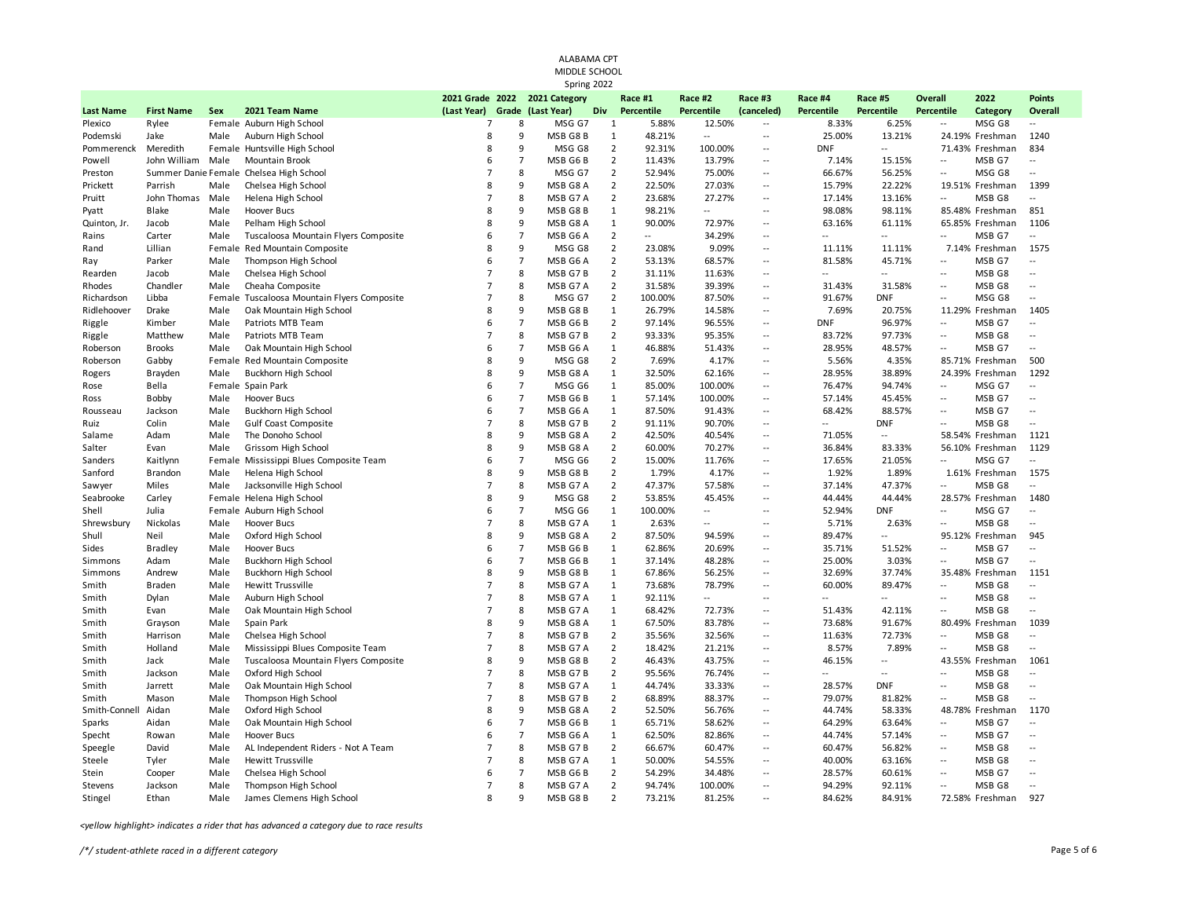|                  |                     |              |                                                  |                     |                | ALABAMA CPT<br>MIDDLE SCHOOL<br>Spring 2022        |                     |                          |                          |                                    |                       |                          |                              |                           |                                 |
|------------------|---------------------|--------------|--------------------------------------------------|---------------------|----------------|----------------------------------------------------|---------------------|--------------------------|--------------------------|------------------------------------|-----------------------|--------------------------|------------------------------|---------------------------|---------------------------------|
| <b>Last Name</b> | <b>First Name</b>   | Sex          | 2021 Team Name                                   | (Last Year)         |                | 2021 Grade 2022 2021 Category<br>Grade (Last Year) | Div                 | Race #1<br>Percentile    | Race #2<br>Percentile    | Race #3<br>(canceled)              | Race #4<br>Percentile | Race #5<br>Percentile    | <b>Overall</b><br>Percentile | 2022<br>Category          | <b>Points</b><br><b>Overall</b> |
| Plexico          | Rylee               |              | Female Auburn High School                        | $\overline{7}$      | 8              | MSG G7                                             | 1                   | 5.88%                    | 12.50%                   | $\sim$                             | 8.33%                 | 6.25%                    | Ξ.                           | MSG G8                    |                                 |
| Podemski         | Jake                | Male         | Auburn High School                               | 8                   | 9              | MSB G8B                                            | 1                   | 48.21%                   | $\sim$                   | $\overline{a}$                     | 25.00%                | 13.21%                   |                              | 24.19% Freshman           | 1240                            |
| Pommerenck       | Meredith            |              | Female Huntsville High School                    | 8                   | 9              | MSG G8                                             | $\overline{2}$      | 92.31%                   | 100.00%                  | $\overline{\phantom{a}}$           | <b>DNF</b>            | $\sim$                   |                              | 71.43% Freshman           | 834                             |
| Powell           | John William        | Male         | Mountain Brook                                   | 6                   | $\overline{7}$ | MSB G6B                                            | $\overline{2}$      | 11.43%                   | 13.79%                   | $\overline{a}$                     | 7.14%                 | 15.15%                   | ÷.                           | MSB G7                    | $\overline{a}$                  |
| Preston          | Summer Danie Female |              | Chelsea High School                              | $\overline{7}$      | 8              | MSG G7                                             | $\overline{2}$      | 52.94%                   | 75.00%                   | $\overline{\phantom{a}}$           | 66.67%                | 56.25%                   | ÷.                           | MSG G8                    | Ξ.                              |
| Prickett         | Parrish             | Male         | Chelsea High School                              | 8                   | 9              | MSB G8 A                                           | $\overline{2}$      | 22.50%                   | 27.03%                   | $\sim$                             | 15.79%                | 22.22%                   |                              | 19.51% Freshman           | 1399                            |
| Pruitt           | John Thomas         | Male         | Helena High School                               | $\overline{7}$      | 8              | MSB G7 A                                           | $\overline{2}$      | 23.68%                   | 27.27%                   | $\overline{\phantom{a}}$           | 17.14%                | 13.16%                   | Ξ.                           | MSB G8                    |                                 |
| Pyatt            | Blake               | Male         | <b>Hoover Bucs</b>                               | $\mathbf{R}$        | 9              | MSB G8B                                            | 1                   | 98.21%                   | $\mathbb{L}$ .           | ÷.                                 | 98.08%                | 98.11%                   |                              | 85.48% Freshman           | 851                             |
| Quinton, Jr.     | Jacob               | Male         | Pelham High School                               | 8                   | 9              | MSB G8 A                                           | $\mathbf{1}$        | 90.00%                   | 72.97%                   | $\overline{\phantom{a}}$           | 63.16%                | 61.11%                   |                              | 65.85% Freshman           | 1106                            |
| Rains            | Carter              | Male         | Tuscaloosa Mountain Flyers Composite             | 6                   | $\overline{7}$ | MSB G6 A                                           | $\overline{2}$      | $\overline{\phantom{a}}$ | 34.29%                   | $\ddotsc$                          | $\ddotsc$             | $\ddotsc$                | $\overline{a}$               | MSB G7                    | $\overline{\phantom{a}}$        |
| Rand             | Lillian             |              | Female Red Mountain Composite                    | 8                   | 9              | MSG G8                                             | $\overline{2}$      | 23.08%                   | 9.09%                    | $\overline{\phantom{a}}$           | 11.11%                | 11.11%                   |                              | 7.14% Freshman            | 1575                            |
| Ray              | Parker              | Male         | Thompson High School                             | 6                   | $\overline{7}$ | MSB G6 A                                           | $\overline{2}$      | 53.13%                   | 68.57%                   | ÷.                                 | 81.58%                | 45.71%                   | ÷.                           | MSB G7                    |                                 |
| Rearden          | Jacob               | Male         | Chelsea High School                              | $\overline{7}$      | 8              | MSB G7B                                            | $\overline{2}$      | 31.11%                   | 11.63%                   | $\overline{\phantom{a}}$           | $\overline{a}$        | $\overline{a}$           | $\overline{a}$               | MSB G8                    | Ξ.                              |
| Rhodes           | Chandler            | Male         | Cheaha Composite                                 | $\overline{7}$      | 8              | MSB G7 A                                           | $\overline{2}$      | 31.58%                   | 39.39%                   | $\ddot{\phantom{a}}$               | 31.43%                | 31.58%                   | $\overline{a}$               | MSB G8                    | $\sim$                          |
| Richardson       | Libba               | Female       | Tuscaloosa Mountain Flyers Composite             | $\overline{7}$      | 8              | MSG G7                                             | $\overline{2}$      | 100.00%                  | 87.50%                   | $\overline{\phantom{a}}$           | 91.67%                | <b>DNF</b>               | $\overline{a}$               | MSG G8                    | $\sim$                          |
| Ridlehoover      | Drake               | Male         | Oak Mountain High School                         | 8                   | 9              | MSB G8B                                            | 1                   | 26.79%                   | 14.58%                   | $\ddot{\phantom{1}}$               | 7.69%                 | 20.75%                   |                              | 11.29% Freshman           | 1405                            |
| Riggle           | Kimber              | Male         | Patriots MTB Team                                | 6                   | $\overline{7}$ | MSB G6 B                                           | $\overline{2}$      | 97.14%                   | 96.55%                   | $\sim$                             | <b>DNF</b>            | 96.97%                   | $\overline{a}$               | MSB G7                    | $-$                             |
| Riggle           | Matthew             | Male         | Patriots MTB Team                                | $\overline{7}$<br>6 | 8              | MSB G7B                                            | $\overline{2}$      | 93.33%                   | 95.35%                   | $\sim$                             | 83.72%                | 97.73%                   | Щ,                           | MSB G8                    | $\overline{\phantom{a}}$        |
| Roberson         | <b>Brooks</b>       | Male         | Oak Mountain High School                         |                     | $\overline{7}$ | MSB G6 A                                           | 1                   | 46.88%                   | 51.43%                   | $\sim$                             | 28.95%                | 48.57%                   | Ξ.                           | MSB G7                    | $\sim$                          |
| Roberson         | Gabby               |              | Female Red Mountain Composite                    | 8<br>8              | 9<br>9         | MSG G8                                             | $\overline{2}$<br>1 | 7.69%                    | 4.17%                    | $\sim$<br>$\overline{\phantom{a}}$ | 5.56%<br>28.95%       | 4.35%                    |                              | 85.71% Freshman           | 500<br>1292                     |
| Rogers           | Brayden<br>Bella    | Male         | <b>Buckhorn High School</b><br>Female Spain Park | 6                   | $\overline{7}$ | MSB G8 A<br>MSG G6                                 | $\mathbf{1}$        | 32.50%<br>85.00%         | 62.16%<br>100.00%        | $\overline{\phantom{a}}$           | 76.47%                | 38.89%<br>94.74%         | Ξ.                           | 24.39% Freshman<br>MSG G7 | $\overline{\phantom{a}}$        |
| Rose             |                     |              |                                                  | 6                   | $\overline{7}$ |                                                    | 1                   |                          |                          | $\overline{\phantom{a}}$           |                       |                          | $\mathbb{L}$ .               |                           | $\sim$                          |
| Ross             | Bobby<br>Jackson    | Male<br>Male | Hoover Bucs<br><b>Buckhorn High School</b>       | 6                   | $\overline{7}$ | MSB G6B<br>MSB G6 A                                | $\mathbf{1}$        | 57.14%<br>87.50%         | 100.00%<br>91.43%        | $\overline{\phantom{a}}$           | 57.14%<br>68.42%      | 45.45%<br>88.57%         | $\ddotsc$                    | MSB G7<br>MSB G7          | $\sim$                          |
| Rousseau         | Colin               | Male         | <b>Gulf Coast Composite</b>                      | $\overline{7}$      | 8              | MSB G7B                                            | $\overline{2}$      | 91.11%                   | 90.70%                   | $\sim$                             | $\sim$ $\sim$         | <b>DNF</b>               | $\overline{a}$               | MSB G8                    | $\sim$                          |
| Ruiz<br>Salame   | Adam                | Male         | The Donoho School                                | 8                   | 9              | MSB G8 A                                           | $\overline{2}$      | 42.50%                   | 40.54%                   | $\sim$                             | 71.05%                | $\sim$                   |                              | 58.54% Freshman           | 1121                            |
| Salter           | Evan                | Male         | Grissom High School                              | 8                   | 9              | MSB G8 A                                           | $\overline{2}$      | 60.00%                   | 70.27%                   | $\overline{a}$                     | 36.84%                | 83.33%                   |                              | 56.10% Freshman           | 1129                            |
| Sanders          | Kaitlynn            |              | Female Mississippi Blues Composite Team          | 6                   | $\overline{7}$ | MSG G6                                             | $\overline{2}$      | 15.00%                   | 11.76%                   | $\overline{\phantom{a}}$           | 17.65%                | 21.05%                   | $\overline{a}$               | MSG G7                    | $\overline{\phantom{a}}$        |
| Sanford          | Brandon             | Male         | Helena High School                               | 8                   | 9              | MSB G8B                                            | $\overline{2}$      | 1.79%                    | 4.17%                    | $\overline{\phantom{a}}$           | 1.92%                 | 1.89%                    |                              | 1.61% Freshman            | 1575                            |
| Sawyer           | Miles               | Male         | Jacksonville High School                         | $\overline{7}$      | 8              | MSB G7 A                                           | $\overline{2}$      | 47.37%                   | 57.58%                   | $\overline{\phantom{a}}$           | 37.14%                | 47.37%                   | ÷.                           | MSB G8                    | $\overline{a}$                  |
| Seabrooke        | Carley              |              | Female Helena High School                        | $\mathbf{R}$        | 9              | MSG G8                                             | $\overline{2}$      | 53.85%                   | 45.45%                   | $\overline{a}$                     | 44.44%                | 44.44%                   |                              | 28.57% Freshman           | 1480                            |
| Shell            | Julia               |              | Female Auburn High School                        | 6                   | $\overline{7}$ | MSG G6                                             | 1                   | 100.00%                  | $\sim$                   | ÷.                                 | 52.94%                | <b>DNF</b>               | ÷.                           | MSG G7                    | Ξ.                              |
| Shrewsbury       | Nickolas            | Male         | <b>Hoover Bucs</b>                               | $\overline{7}$      | 8              | MSB G7 A                                           | 1                   | 2.63%                    | $\sim$ $\sim$            | $\overline{a}$                     | 5.71%                 | 2.63%                    | $\overline{a}$               | MSB G8                    | $\overline{\phantom{a}}$        |
| Shull            | Neil                | Male         | Oxford High School                               | 8                   | 9              | MSB G8 A                                           | $\overline{2}$      | 87.50%                   | 94.59%                   | $\sim$                             | 89.47%                | $\sim$                   |                              | 95.12% Freshman           | 945                             |
| Sides            | <b>Bradley</b>      | Male         | Hoover Bucs                                      | 6                   | $\overline{7}$ | MSB G6B                                            | 1                   | 62.86%                   | 20.69%                   | $\ddotsc$                          | 35.71%                | 51.52%                   | $\overline{a}$               | MSB G7                    | 44                              |
| Simmons          | Adam                | Male         | Buckhorn High School                             | 6                   | $\overline{7}$ | MSB G6B                                            | 1                   | 37.14%                   | 48.28%                   | $\overline{\phantom{a}}$           | 25.00%                | 3.03%                    | ÷.                           | MSB G7                    | $\sim$                          |
| Simmons          | Andrew              | Male         | Buckhorn High School                             | 8                   | 9              | MSB G8B                                            | 1                   | 67.86%                   | 56.25%                   | $\overline{a}$                     | 32.69%                | 37.74%                   |                              | 35.48% Freshman           | 1151                            |
| Smith            | Braden              | Male         | <b>Hewitt Trussville</b>                         | $\overline{7}$      | 8              | MSB G7 A                                           | 1                   | 73.68%                   | 78.79%                   | $\overline{\phantom{a}}$           | 60.00%                | 89.47%                   | Ξ.                           | MSB G8                    | Ξ.                              |
| Smith            | Dylan               | Male         | Auburn High School                               | $\overline{7}$      | 8              | MSB G7 A                                           | $\mathbf{1}$        | 92.11%                   | $\overline{\phantom{a}}$ | ÷.                                 | $\sim$ $\sim$         | $\sim$                   | $\overline{a}$               | MSB G8                    | $\sim$                          |
| Smith            | Evan                | Male         | Oak Mountain High School                         | $\overline{7}$      | 8              | MSB G7 A                                           | 1                   | 68.42%                   | 72.73%                   | ÷.                                 | 51.43%                | 42.11%                   | ÷.                           | MSB G8                    | $\sim$                          |
| Smith            | Grayson             | Male         | Spain Park                                       | 8                   | 9              | MSB G8 A                                           | 1                   | 67.50%                   | 83.78%                   | $\ddotsc$                          | 73.68%                | 91.67%                   |                              | 80.49% Freshman           | 1039                            |
| Smith            | Harrison            | Male         | Chelsea High School                              | $\overline{7}$      | 8              | MSB G7B                                            | $\overline{2}$      | 35.56%                   | 32.56%                   | $\overline{\phantom{a}}$           | 11.63%                | 72.73%                   | $\overline{\phantom{a}}$     | MSB G8                    | $\overline{a}$                  |
| Smith            | Holland             | Male         | Mississippi Blues Composite Team                 | $\overline{7}$      | 8              | MSB G7 A                                           | $\overline{2}$      | 18.42%                   | 21.21%                   | $\ddotsc$                          | 8.57%                 | 7.89%                    | $\overline{\phantom{a}}$     | MSB G8                    | $\ddotsc$                       |
| Smith            | Jack                | Male         | Tuscaloosa Mountain Flyers Composite             | 8                   | 9              | MSB G8 B                                           | $\overline{2}$      | 46.43%                   | 43.75%                   | $\overline{\phantom{a}}$           | 46.15%                | $\overline{\phantom{a}}$ |                              | 43.55% Freshman           | 1061                            |
| Smith            | Jackson             | Male         | Oxford High School                               | $\overline{7}$      | 8              | MSB G7B                                            | $\overline{2}$      | 95.56%                   | 76.74%                   | $\sim$                             | Ξ.                    | $\ddotsc$                | Ξ.                           | MSB G8                    |                                 |
| Smith            | Jarrett             | Male         | Oak Mountain High School                         | $\overline{7}$      | 8              | MSB G7 A                                           | 1                   | 44.74%                   | 33.33%                   | $\overline{\phantom{a}}$           | 28.57%                | <b>DNF</b>               | $\overline{a}$               | MSB G8                    | Ξ.                              |
| Smith            | Mason               | Male         | Thompson High School                             | $\overline{7}$      | 8              | MSB G7B                                            | $\overline{2}$      | 68.89%                   | 88.37%                   | $\ddotsc$                          | 79.07%                | 81.82%                   | $\overline{a}$               | MSB G8                    | $\ddotsc$                       |
| Smith-Connell    | Aidan               | Male         | Oxford High School                               | 8                   | 9              | MSB G8 A                                           | $\overline{2}$      | 52.50%                   | 56.76%                   | $\overline{\phantom{a}}$           | 44.74%                | 58.33%                   |                              | 48.78% Freshman           | 1170                            |
| Sparks           | Aidan               | Male         | Oak Mountain High School                         | 6                   | $\overline{7}$ | MSB G6B                                            | 1                   | 65.71%                   | 58.62%                   | $\sim$                             | 64.29%                | 63.64%                   | Ξ.                           | MSB G7                    | --                              |
| Specht           | Rowan               | Male         | Hoover Bucs                                      | 6                   | $\overline{7}$ | MSB G6 A                                           | 1                   | 62.50%                   | 82.86%                   | ÷.                                 | 44.74%                | 57.14%                   | $\overline{a}$               | MSB G7                    | $\sim$                          |
| Speegle          | David               | Male         | AL Independent Riders - Not A Team               | $\overline{7}$      | 8              | MSB G7B                                            | $\overline{2}$      | 66.67%                   | 60.47%                   | $\sim$                             | 60.47%                | 56.82%                   | $\overline{\phantom{a}}$     | MSB G8                    | $\overline{a}$                  |
| Steele           | Tyler               | Male         | <b>Hewitt Trussville</b>                         | $\overline{7}$      | 8              | MSB G7 A                                           | 1                   | 50.00%                   | 54.55%                   | $\sim$                             | 40.00%                | 63.16%                   | $\overline{\phantom{a}}$     | MSB G8                    | $\sim$                          |
| Stein            | Cooper              | Male         | Chelsea High School                              | 6                   | $\overline{7}$ | MSB G6 B                                           | $\overline{2}$      | 54.29%                   | 34.48%                   | $\sim$                             | 28.57%                | 60.61%                   | Ξ.                           | MSB G7                    | $\overline{a}$                  |
| Stevens          | Jackson             | Male         | Thompson High School                             | $\overline{7}$      | 8              | MSB G7 A                                           | $\overline{2}$      | 94.74%                   | 100.00%                  | $\overline{\phantom{a}}$           | 94.29%                | 92.11%                   | $\overline{a}$               | MSB G8                    | $\sim$                          |
| Stingel          | Ethan               | Male         | James Clemens High School                        | 8                   | $\mathbf{q}$   | MSB G8B                                            | $\overline{2}$      | 73.21%                   | 81.25%                   | $\sim$                             | 84.62%                | 84.91%                   |                              | 72.58% Freshman           | 927                             |